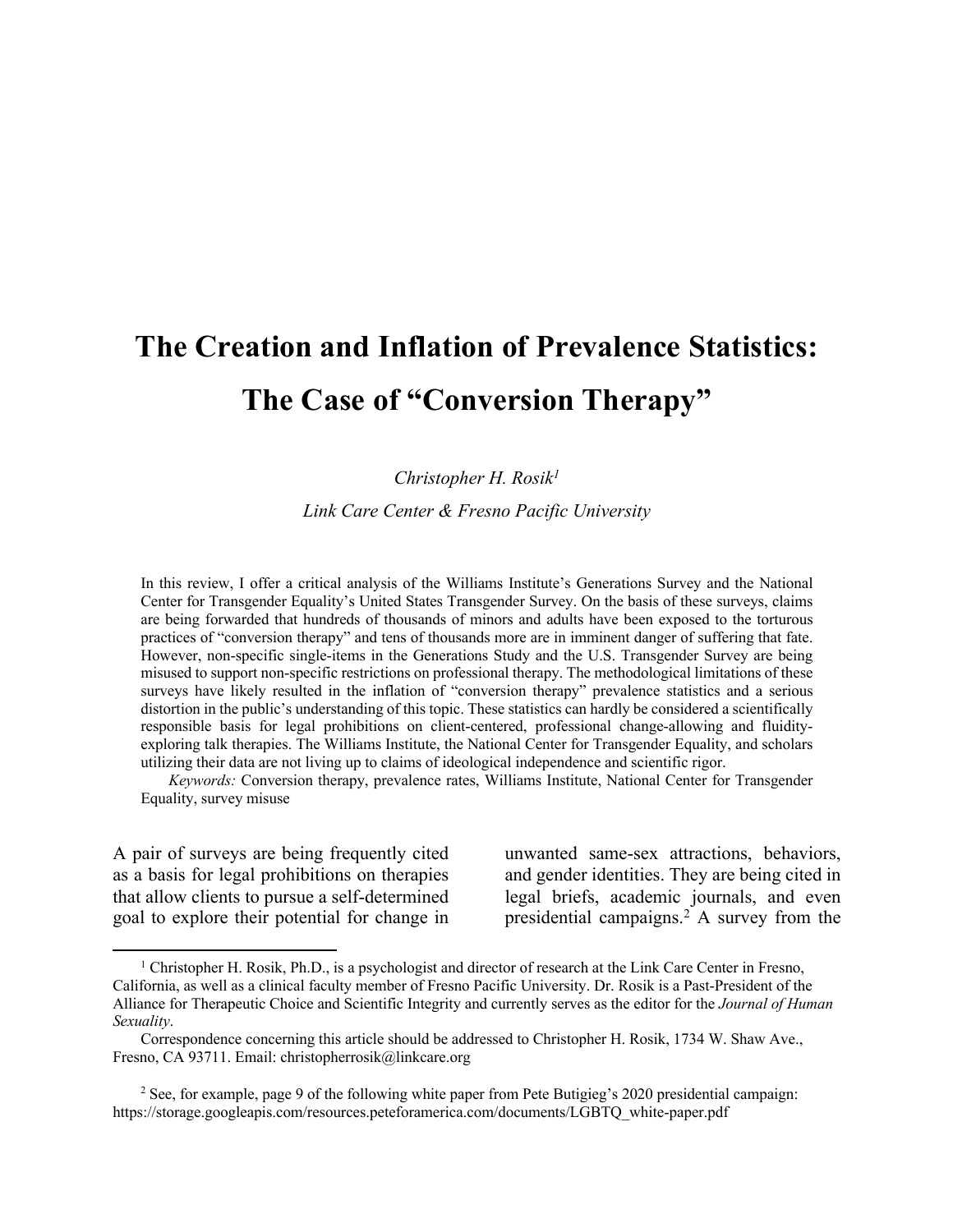# **The Creation and Inflation of Prevalence Statistics: The Case of "Conversion Therapy"**

#### *Christopher H. Rosik1*

*Link Care Center & Fresno Pacific University*

In this review, I offer a critical analysis of the Williams Institute's Generations Survey and the National Center for Transgender Equality's United States Transgender Survey. On the basis of these surveys, claims are being forwarded that hundreds of thousands of minors and adults have been exposed to the torturous practices of "conversion therapy" and tens of thousands more are in imminent danger of suffering that fate. However, non-specific single-items in the Generations Study and the U.S. Transgender Survey are being misused to support non-specific restrictions on professional therapy. The methodological limitations of these surveys have likely resulted in the inflation of "conversion therapy" prevalence statistics and a serious distortion in the public's understanding of this topic. These statistics can hardly be considered a scientifically responsible basis for legal prohibitions on client-centered, professional change-allowing and fluidityexploring talk therapies. The Williams Institute, the National Center for Transgender Equality, and scholars utilizing their data are not living up to claims of ideological independence and scientific rigor.

*Keywords:* Conversion therapy, prevalence rates, Williams Institute, National Center for Transgender Equality, survey misuse

A pair of surveys are being frequently cited as a basis for legal prohibitions on therapies that allow clients to pursue a self-determined goal to explore their potential for change in

l

unwanted same-sex attractions, behaviors, and gender identities. They are being cited in legal briefs, academic journals, and even presidential campaigns.2 A survey from the

<sup>&</sup>lt;sup>1</sup> Christopher H. Rosik, Ph.D., is a psychologist and director of research at the Link Care Center in Fresno, California, as well as a clinical faculty member of Fresno Pacific University. Dr. Rosik is a Past-President of the Alliance for Therapeutic Choice and Scientific Integrity and currently serves as the editor for the *Journal of Human Sexuality*.

Correspondence concerning this article should be addressed to Christopher H. Rosik, 1734 W. Shaw Ave., Fresno, CA 93711. Email: christopherrosik@linkcare.org

<sup>&</sup>lt;sup>2</sup> See, for example, page 9 of the following white paper from Pete Butigieg's 2020 presidential campaign: https://storage.googleapis.com/resources.peteforamerica.com/documents/LGBTQ\_white-paper.pdf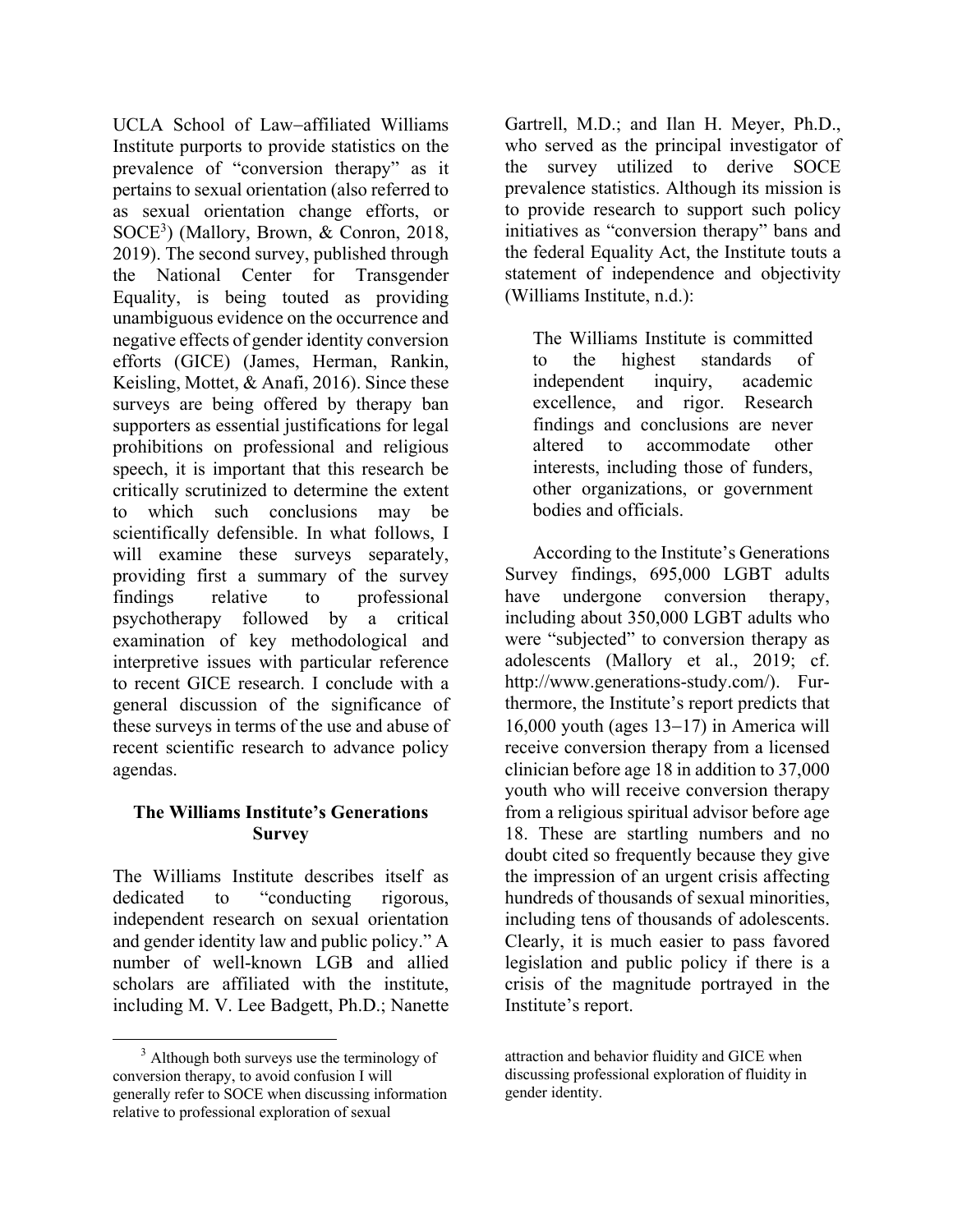UCLA School of Law-affiliated Williams Institute purports to provide statistics on the prevalence of "conversion therapy" as it pertains to sexual orientation (also referred to as sexual orientation change efforts, or SOCE3 ) (Mallory, Brown, & Conron, 2018, 2019). The second survey, published through the National Center for Transgender Equality, is being touted as providing unambiguous evidence on the occurrence and negative effects of gender identity conversion efforts (GICE) (James, Herman, Rankin, Keisling, Mottet, & Anafi, 2016). Since these surveys are being offered by therapy ban supporters as essential justifications for legal prohibitions on professional and religious speech, it is important that this research be critically scrutinized to determine the extent to which such conclusions may be scientifically defensible. In what follows, I will examine these surveys separately, providing first a summary of the survey findings relative to professional psychotherapy followed by a critical examination of key methodological and interpretive issues with particular reference to recent GICE research. I conclude with a general discussion of the significance of these surveys in terms of the use and abuse of recent scientific research to advance policy agendas.

#### **The Williams Institute's Generations Survey**

The Williams Institute describes itself as dedicated to "conducting rigorous, independent research on sexual orientation and gender identity law and public policy." A number of well-known LGB and allied scholars are affiliated with the institute, including M. V. Lee Badgett, Ph.D.; Nanette

 $\overline{\phantom{a}}$ 

Gartrell, M.D.; and Ilan H. Meyer, Ph.D., who served as the principal investigator of the survey utilized to derive SOCE prevalence statistics. Although its mission is to provide research to support such policy initiatives as "conversion therapy" bans and the federal Equality Act, the Institute touts a statement of independence and objectivity (Williams Institute, n.d.):

The Williams Institute is committed to the highest standards of independent inquiry, academic excellence, and rigor. Research findings and conclusions are never altered to accommodate other interests, including those of funders, other organizations, or government bodies and officials.

According to the Institute's Generations Survey findings, 695,000 LGBT adults have undergone conversion therapy, including about 350,000 LGBT adults who were "subjected" to conversion therapy as adolescents (Mallory et al., 2019; cf. http://www.generations-study.com/). Furthermore, the Institute's report predicts that 16,000 youth (ages  $13-17$ ) in America will receive conversion therapy from a licensed clinician before age 18 in addition to 37,000 youth who will receive conversion therapy from a religious spiritual advisor before age 18. These are startling numbers and no doubt cited so frequently because they give the impression of an urgent crisis affecting hundreds of thousands of sexual minorities, including tens of thousands of adolescents. Clearly, it is much easier to pass favored legislation and public policy if there is a crisis of the magnitude portrayed in the Institute's report.

<sup>&</sup>lt;sup>3</sup> Although both surveys use the terminology of conversion therapy, to avoid confusion I will generally refer to SOCE when discussing information relative to professional exploration of sexual

attraction and behavior fluidity and GICE when discussing professional exploration of fluidity in gender identity.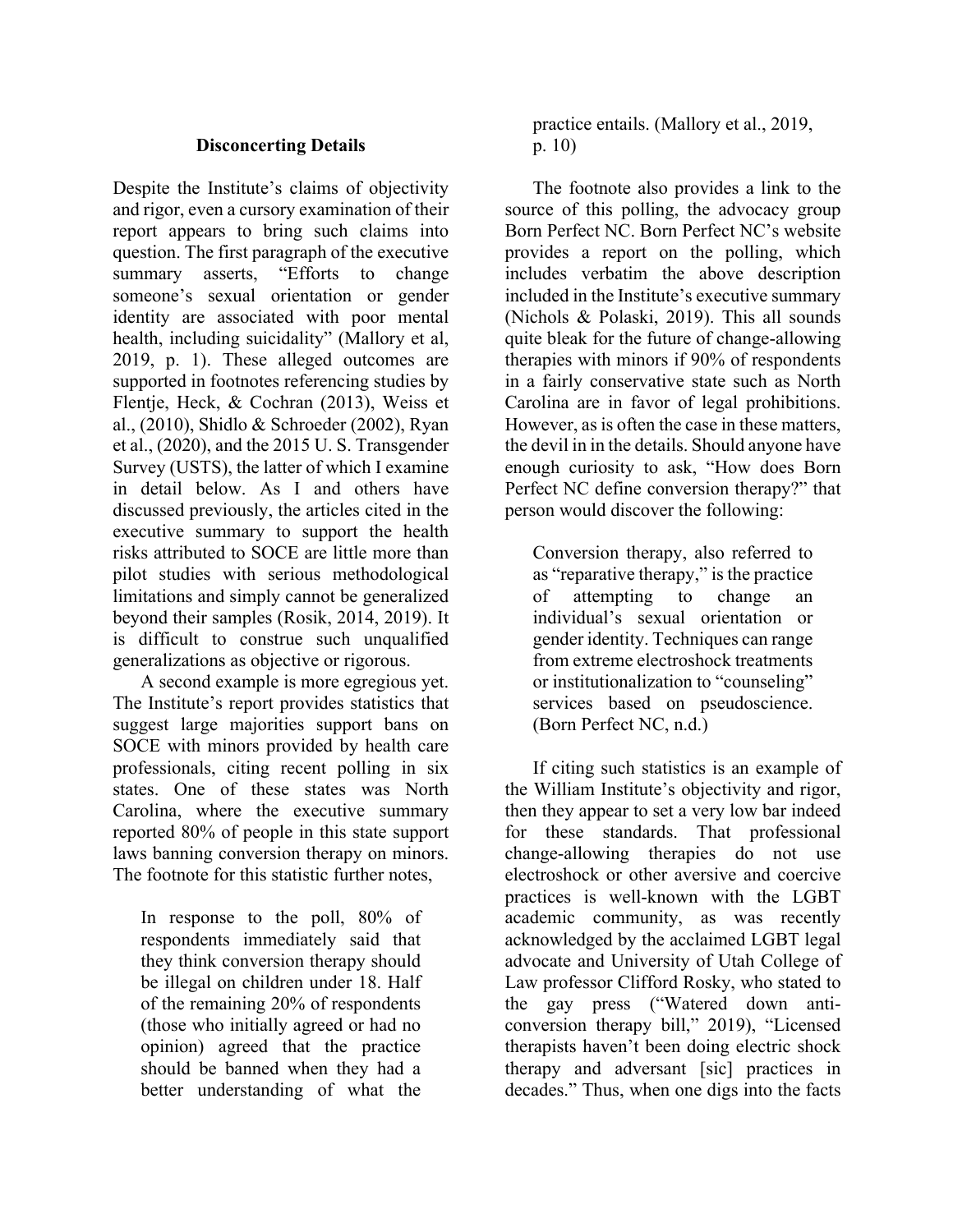#### **Disconcerting Details**

Despite the Institute's claims of objectivity and rigor, even a cursory examination of their report appears to bring such claims into question. The first paragraph of the executive summary asserts, "Efforts to change someone's sexual orientation or gender identity are associated with poor mental health, including suicidality" (Mallory et al, 2019, p. 1). These alleged outcomes are supported in footnotes referencing studies by Flentje, Heck, & Cochran (2013), Weiss et al., (2010), Shidlo & Schroeder (2002), Ryan et al., (2020), and the 2015 U. S. Transgender Survey (USTS), the latter of which I examine in detail below. As I and others have discussed previously, the articles cited in the executive summary to support the health risks attributed to SOCE are little more than pilot studies with serious methodological limitations and simply cannot be generalized beyond their samples (Rosik, 2014, 2019). It is difficult to construe such unqualified generalizations as objective or rigorous.

A second example is more egregious yet. The Institute's report provides statistics that suggest large majorities support bans on SOCE with minors provided by health care professionals, citing recent polling in six states. One of these states was North Carolina, where the executive summary reported 80% of people in this state support laws banning conversion therapy on minors. The footnote for this statistic further notes,

In response to the poll, 80% of respondents immediately said that they think conversion therapy should be illegal on children under 18. Half of the remaining 20% of respondents (those who initially agreed or had no opinion) agreed that the practice should be banned when they had a better understanding of what the

practice entails. (Mallory et al., 2019, p. 10)

The footnote also provides a link to the source of this polling, the advocacy group Born Perfect NC. Born Perfect NC's website provides a report on the polling, which includes verbatim the above description included in the Institute's executive summary (Nichols & Polaski, 2019). This all sounds quite bleak for the future of change-allowing therapies with minors if 90% of respondents in a fairly conservative state such as North Carolina are in favor of legal prohibitions. However, as is often the case in these matters, the devil in in the details. Should anyone have enough curiosity to ask, "How does Born Perfect NC define conversion therapy?" that person would discover the following:

Conversion therapy, also referred to as "reparative therapy," is the practice of attempting to change an individual's sexual orientation or gender identity. Techniques can range from extreme electroshock treatments or institutionalization to "counseling" services based on pseudoscience. (Born Perfect NC, n.d.)

If citing such statistics is an example of the William Institute's objectivity and rigor, then they appear to set a very low bar indeed for these standards. That professional change-allowing therapies do not use electroshock or other aversive and coercive practices is well-known with the LGBT academic community, as was recently acknowledged by the acclaimed LGBT legal advocate and University of Utah College of Law professor Clifford Rosky, who stated to the gay press ("Watered down anticonversion therapy bill," 2019), "Licensed therapists haven't been doing electric shock therapy and adversant [sic] practices in decades." Thus, when one digs into the facts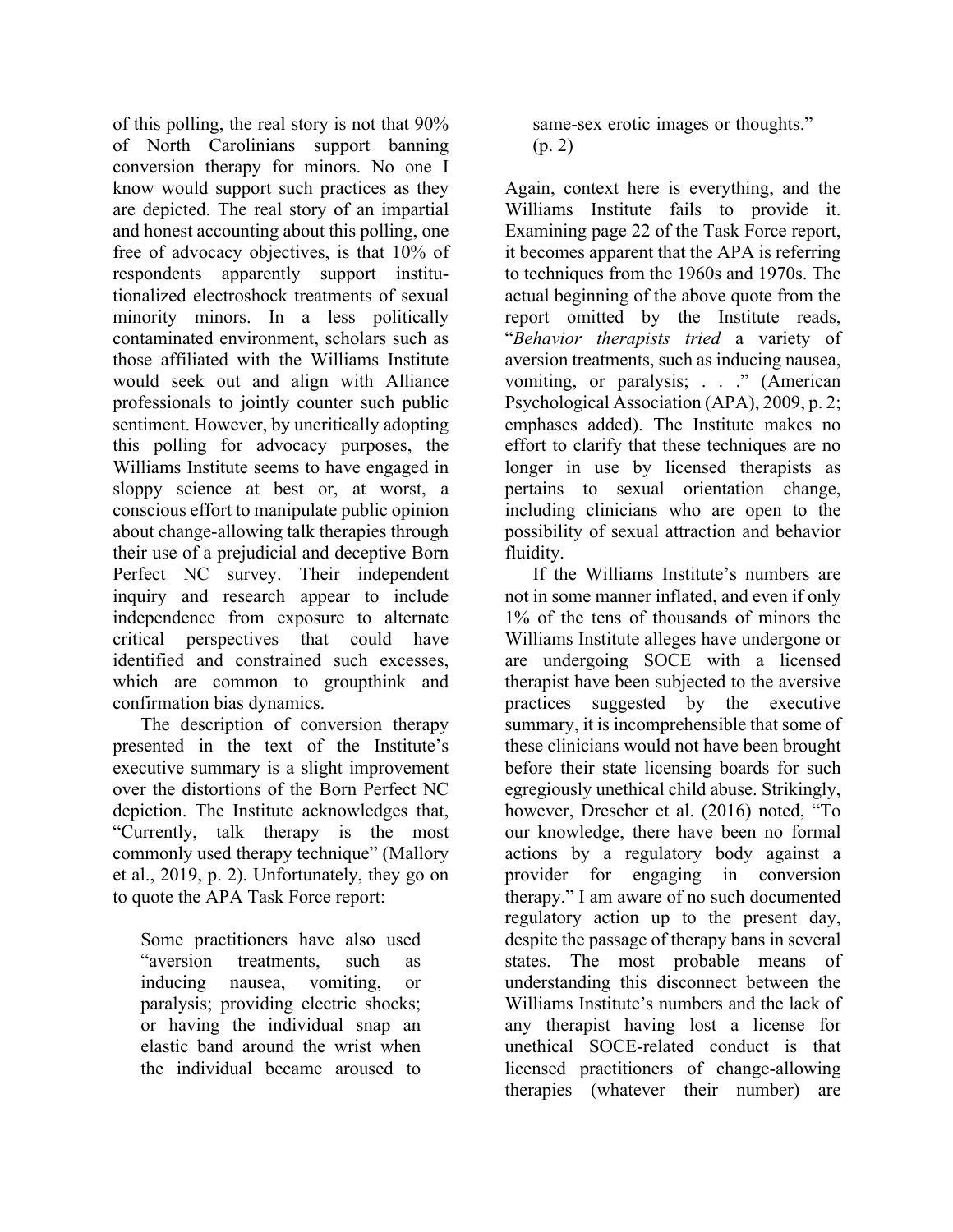of this polling, the real story is not that 90% of North Carolinians support banning conversion therapy for minors. No one I know would support such practices as they are depicted. The real story of an impartial and honest accounting about this polling, one free of advocacy objectives, is that 10% of respondents apparently support institutionalized electroshock treatments of sexual minority minors. In a less politically contaminated environment, scholars such as those affiliated with the Williams Institute would seek out and align with Alliance professionals to jointly counter such public sentiment. However, by uncritically adopting this polling for advocacy purposes, the Williams Institute seems to have engaged in sloppy science at best or, at worst, a conscious effort to manipulate public opinion about change-allowing talk therapies through their use of a prejudicial and deceptive Born Perfect NC survey. Their independent inquiry and research appear to include independence from exposure to alternate critical perspectives that could have identified and constrained such excesses, which are common to groupthink and confirmation bias dynamics.

The description of conversion therapy presented in the text of the Institute's executive summary is a slight improvement over the distortions of the Born Perfect NC depiction. The Institute acknowledges that, "Currently, talk therapy is the most commonly used therapy technique" (Mallory et al., 2019, p. 2). Unfortunately, they go on to quote the APA Task Force report:

Some practitioners have also used "aversion treatments, such as inducing nausea, vomiting, or paralysis; providing electric shocks; or having the individual snap an elastic band around the wrist when the individual became aroused to

same-sex erotic images or thoughts." (p. 2)

Again, context here is everything, and the Williams Institute fails to provide it. Examining page 22 of the Task Force report, it becomes apparent that the APA is referring to techniques from the 1960s and 1970s. The actual beginning of the above quote from the report omitted by the Institute reads, "*Behavior therapists tried* a variety of aversion treatments, such as inducing nausea, vomiting, or paralysis; . . ." (American Psychological Association (APA), 2009, p. 2; emphases added). The Institute makes no effort to clarify that these techniques are no longer in use by licensed therapists as pertains to sexual orientation change, including clinicians who are open to the possibility of sexual attraction and behavior fluidity.

If the Williams Institute's numbers are not in some manner inflated, and even if only 1% of the tens of thousands of minors the Williams Institute alleges have undergone or are undergoing SOCE with a licensed therapist have been subjected to the aversive practices suggested by the executive summary, it is incomprehensible that some of these clinicians would not have been brought before their state licensing boards for such egregiously unethical child abuse. Strikingly, however, Drescher et al. (2016) noted, "To our knowledge, there have been no formal actions by a regulatory body against a provider for engaging in conversion therapy." I am aware of no such documented regulatory action up to the present day, despite the passage of therapy bans in several states. The most probable means of understanding this disconnect between the Williams Institute's numbers and the lack of any therapist having lost a license for unethical SOCE-related conduct is that licensed practitioners of change-allowing therapies (whatever their number) are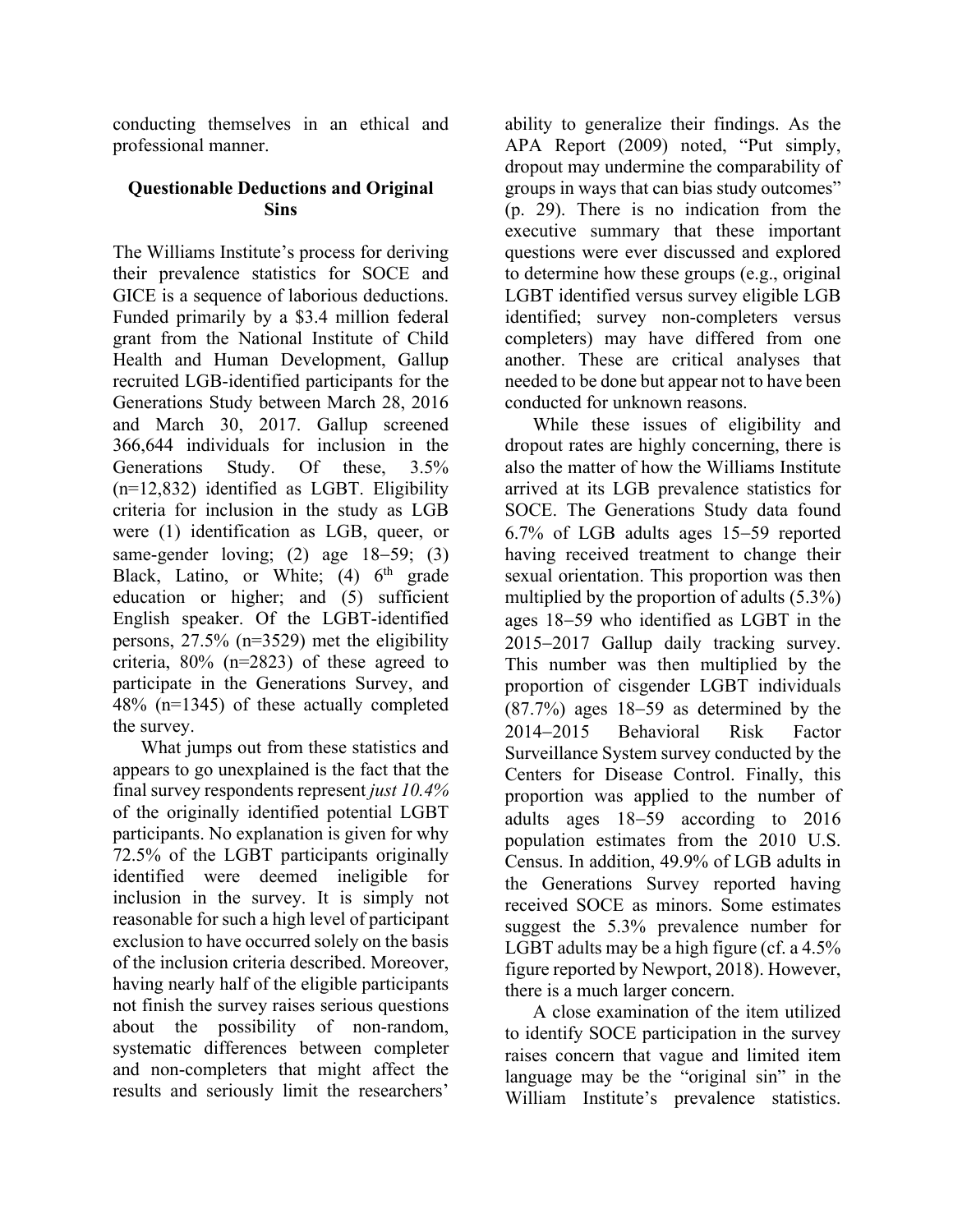conducting themselves in an ethical and professional manner.

#### **Questionable Deductions and Original Sins**

The Williams Institute's process for deriving their prevalence statistics for SOCE and GICE is a sequence of laborious deductions. Funded primarily by a \$3.4 million federal grant from the National Institute of Child Health and Human Development, Gallup recruited LGB-identified participants for the Generations Study between March 28, 2016 and March 30, 2017. Gallup screened 366,644 individuals for inclusion in the Generations Study. Of these, 3.5% (n=12,832) identified as LGBT. Eligibility criteria for inclusion in the study as LGB were (1) identification as LGB, queer, or same-gender loving; (2) age 18–59; (3) Black, Latino, or White; (4) 6<sup>th</sup> grade education or higher; and (5) sufficient English speaker. Of the LGBT-identified persons, 27.5% (n=3529) met the eligibility criteria, 80% (n=2823) of these agreed to participate in the Generations Survey, and 48% (n=1345) of these actually completed the survey.

What jumps out from these statistics and appears to go unexplained is the fact that the final survey respondents represent *just 10.4%* of the originally identified potential LGBT participants. No explanation is given for why 72.5% of the LGBT participants originally identified were deemed ineligible for inclusion in the survey. It is simply not reasonable for such a high level of participant exclusion to have occurred solely on the basis of the inclusion criteria described. Moreover, having nearly half of the eligible participants not finish the survey raises serious questions about the possibility of non-random, systematic differences between completer and non-completers that might affect the results and seriously limit the researchers'

ability to generalize their findings. As the APA Report (2009) noted, "Put simply, dropout may undermine the comparability of groups in ways that can bias study outcomes" (p. 29). There is no indication from the executive summary that these important questions were ever discussed and explored to determine how these groups (e.g., original LGBT identified versus survey eligible LGB identified; survey non-completers versus completers) may have differed from one another. These are critical analyses that needed to be done but appear not to have been conducted for unknown reasons.

While these issues of eligibility and dropout rates are highly concerning, there is also the matter of how the Williams Institute arrived at its LGB prevalence statistics for SOCE. The Generations Study data found 6.7% of LGB adults ages 15-59 reported having received treatment to change their sexual orientation. This proportion was then multiplied by the proportion of adults (5.3%) ages 18-59 who identified as LGBT in the 2015-2017 Gallup daily tracking survey. This number was then multiplied by the proportion of cisgender LGBT individuals (87.7%) ages 18-59 as determined by the 2014-2015 Behavioral Risk Factor Surveillance System survey conducted by the Centers for Disease Control. Finally, this proportion was applied to the number of adults ages 18-59 according to 2016 population estimates from the 2010 U.S. Census. In addition, 49.9% of LGB adults in the Generations Survey reported having received SOCE as minors. Some estimates suggest the 5.3% prevalence number for LGBT adults may be a high figure (cf. a 4.5% figure reported by Newport, 2018). However, there is a much larger concern.

A close examination of the item utilized to identify SOCE participation in the survey raises concern that vague and limited item language may be the "original sin" in the William Institute's prevalence statistics.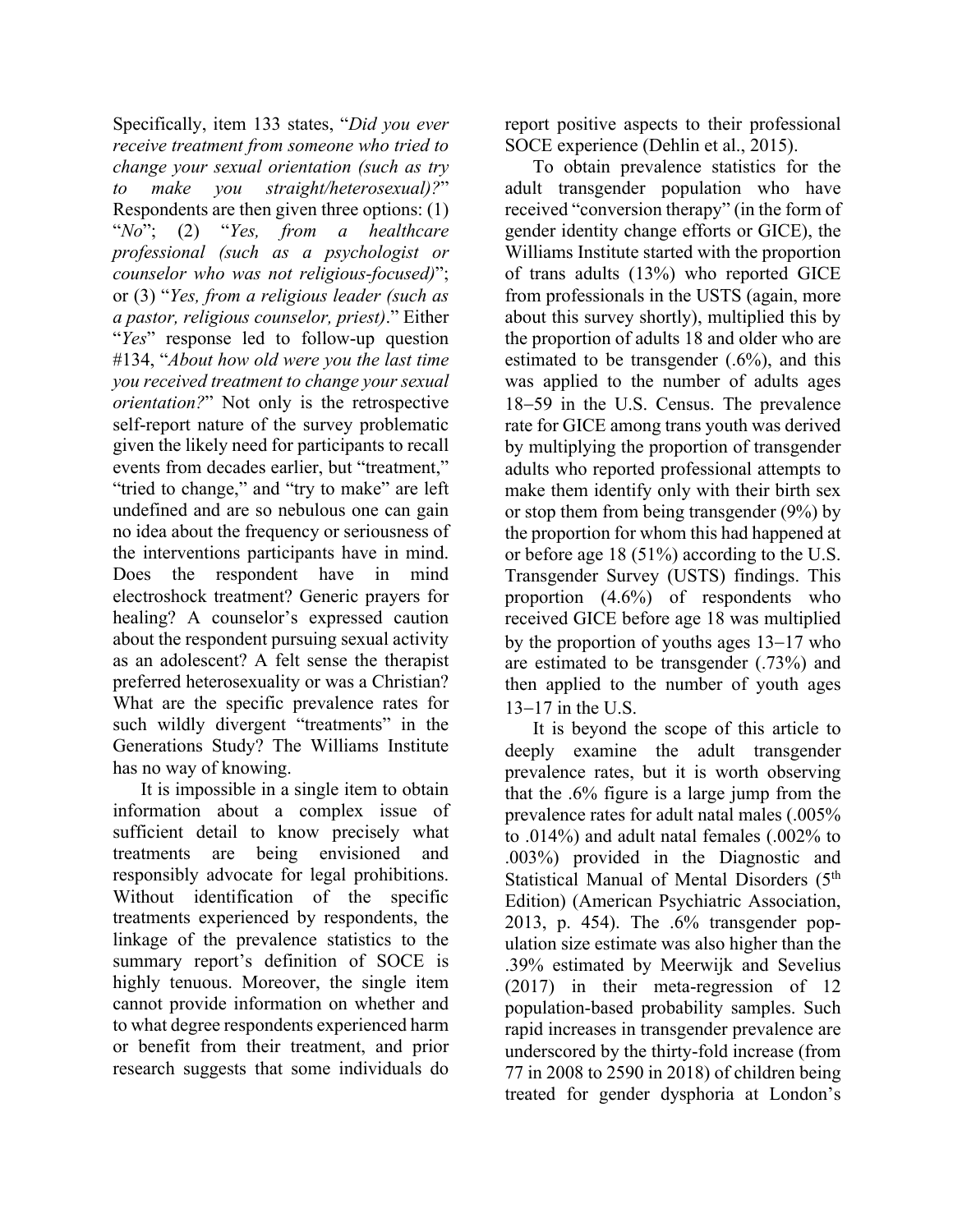Specifically, item 133 states, "*Did you ever receive treatment from someone who tried to change your sexual orientation (such as try to make you straight/heterosexual)?*" Respondents are then given three options: (1) "*No*"; (2) "*Yes, from a healthcare professional (such as a psychologist or counselor who was not religious-focused)*"; or (3) "*Yes, from a religious leader (such as a pastor, religious counselor, priest)*." Either "*Yes*" response led to follow-up question #134, "*About how old were you the last time you received treatment to change your sexual orientation?*" Not only is the retrospective self-report nature of the survey problematic given the likely need for participants to recall events from decades earlier, but "treatment," "tried to change," and "try to make" are left undefined and are so nebulous one can gain no idea about the frequency or seriousness of the interventions participants have in mind. Does the respondent have in mind electroshock treatment? Generic prayers for healing? A counselor's expressed caution about the respondent pursuing sexual activity as an adolescent? A felt sense the therapist preferred heterosexuality or was a Christian? What are the specific prevalence rates for such wildly divergent "treatments" in the Generations Study? The Williams Institute has no way of knowing.

It is impossible in a single item to obtain information about a complex issue of sufficient detail to know precisely what treatments are being envisioned and responsibly advocate for legal prohibitions. Without identification of the specific treatments experienced by respondents, the linkage of the prevalence statistics to the summary report's definition of SOCE is highly tenuous. Moreover, the single item cannot provide information on whether and to what degree respondents experienced harm or benefit from their treatment, and prior research suggests that some individuals do

report positive aspects to their professional SOCE experience (Dehlin et al., 2015).

To obtain prevalence statistics for the adult transgender population who have received "conversion therapy" (in the form of gender identity change efforts or GICE), the Williams Institute started with the proportion of trans adults (13%) who reported GICE from professionals in the USTS (again, more about this survey shortly), multiplied this by the proportion of adults 18 and older who are estimated to be transgender (.6%), and this was applied to the number of adults ages 18-59 in the U.S. Census. The prevalence rate for GICE among trans youth was derived by multiplying the proportion of transgender adults who reported professional attempts to make them identify only with their birth sex or stop them from being transgender (9%) by the proportion for whom this had happened at or before age 18 (51%) according to the U.S. Transgender Survey (USTS) findings. This proportion (4.6%) of respondents who received GICE before age 18 was multiplied by the proportion of youths ages 13-17 who are estimated to be transgender (.73%) and then applied to the number of youth ages 13-17 in the U.S.

It is beyond the scope of this article to deeply examine the adult transgender prevalence rates, but it is worth observing that the .6% figure is a large jump from the prevalence rates for adult natal males (.005% to .014%) and adult natal females (.002% to .003%) provided in the Diagnostic and Statistical Manual of Mental Disorders (5<sup>th</sup> Edition) (American Psychiatric Association, 2013, p. 454). The .6% transgender population size estimate was also higher than the .39% estimated by Meerwijk and Sevelius (2017) in their meta-regression of 12 population-based probability samples. Such rapid increases in transgender prevalence are underscored by the thirty-fold increase (from 77 in 2008 to 2590 in 2018) of children being treated for gender dysphoria at London's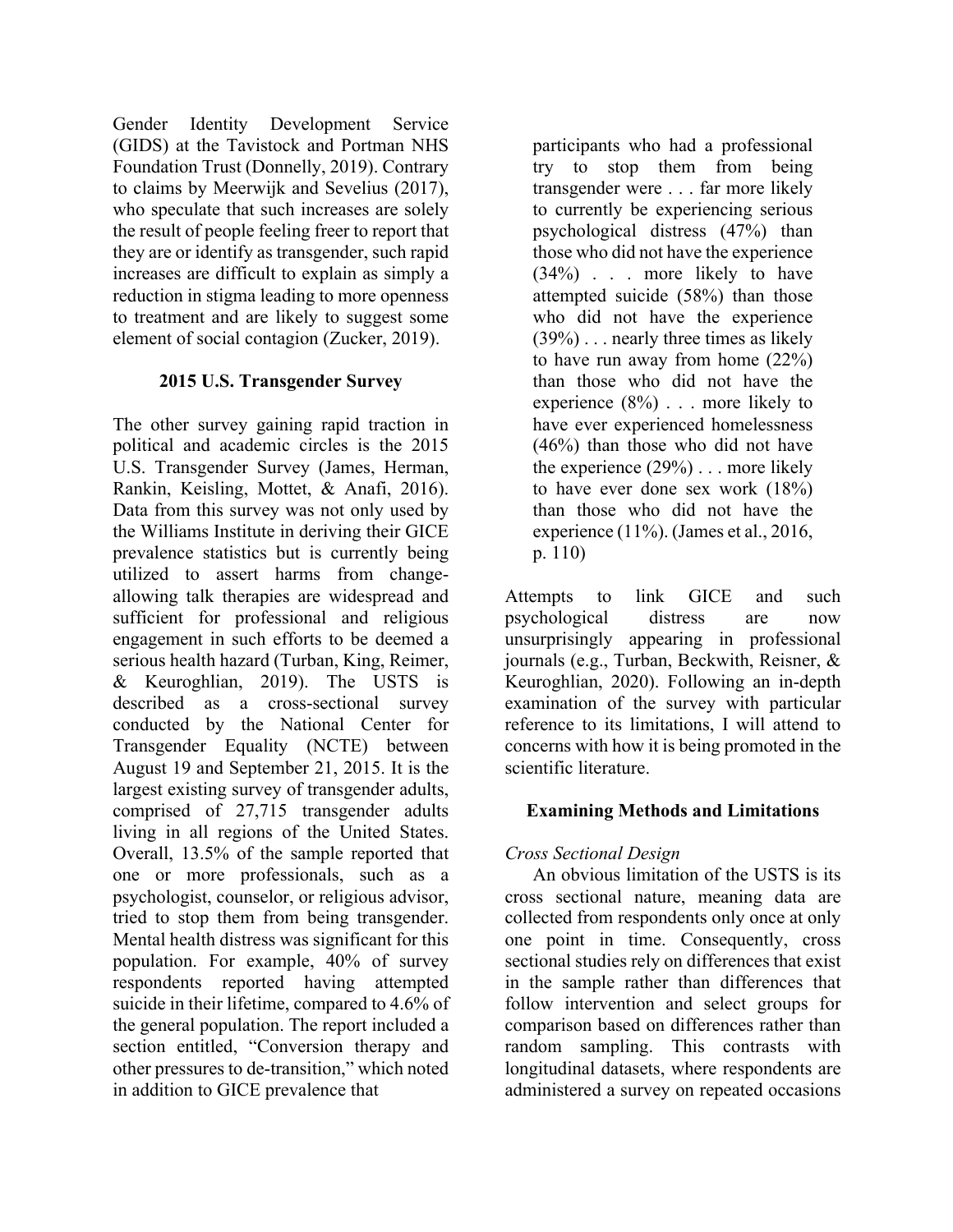Gender Identity Development Service (GIDS) at the Tavistock and Portman NHS Foundation Trust (Donnelly, 2019). Contrary to claims by Meerwijk and Sevelius (2017), who speculate that such increases are solely the result of people feeling freer to report that they are or identify as transgender, such rapid increases are difficult to explain as simply a reduction in stigma leading to more openness to treatment and are likely to suggest some element of social contagion (Zucker, 2019).

# **2015 U.S. Transgender Survey**

The other survey gaining rapid traction in political and academic circles is the 2015 U.S. Transgender Survey (James, Herman, Rankin, Keisling, Mottet, & Anafi, 2016). Data from this survey was not only used by the Williams Institute in deriving their GICE prevalence statistics but is currently being utilized to assert harms from changeallowing talk therapies are widespread and sufficient for professional and religious engagement in such efforts to be deemed a serious health hazard (Turban, King, Reimer, & Keuroghlian, 2019). The USTS is described as a cross-sectional survey conducted by the National Center for Transgender Equality (NCTE) between August 19 and September 21, 2015. It is the largest existing survey of transgender adults, comprised of 27,715 transgender adults living in all regions of the United States. Overall, 13.5% of the sample reported that one or more professionals, such as a psychologist, counselor, or religious advisor, tried to stop them from being transgender. Mental health distress was significant for this population. For example, 40% of survey respondents reported having attempted suicide in their lifetime, compared to 4.6% of the general population. The report included a section entitled, "Conversion therapy and other pressures to de-transition," which noted in addition to GICE prevalence that

participants who had a professional try to stop them from being transgender were . . . far more likely to currently be experiencing serious psychological distress (47%) than those who did not have the experience (34%) . . . more likely to have attempted suicide (58%) than those who did not have the experience (39%) . . . nearly three times as likely to have run away from home (22%) than those who did not have the experience (8%) . . . more likely to have ever experienced homelessness (46%) than those who did not have the experience  $(29\%)$ ... more likely to have ever done sex work (18%) than those who did not have the experience (11%). (James et al., 2016, p. 110)

Attempts to link GICE and such psychological distress are now unsurprisingly appearing in professional journals (e.g., Turban, Beckwith, Reisner, & Keuroghlian, 2020). Following an in-depth examination of the survey with particular reference to its limitations, I will attend to concerns with how it is being promoted in the scientific literature.

# **Examining Methods and Limitations**

# *Cross Sectional Design*

An obvious limitation of the USTS is its cross sectional nature, meaning data are collected from respondents only once at only one point in time. Consequently, cross sectional studies rely on differences that exist in the sample rather than differences that follow intervention and select groups for comparison based on differences rather than random sampling. This contrasts with longitudinal datasets, where respondents are administered a survey on repeated occasions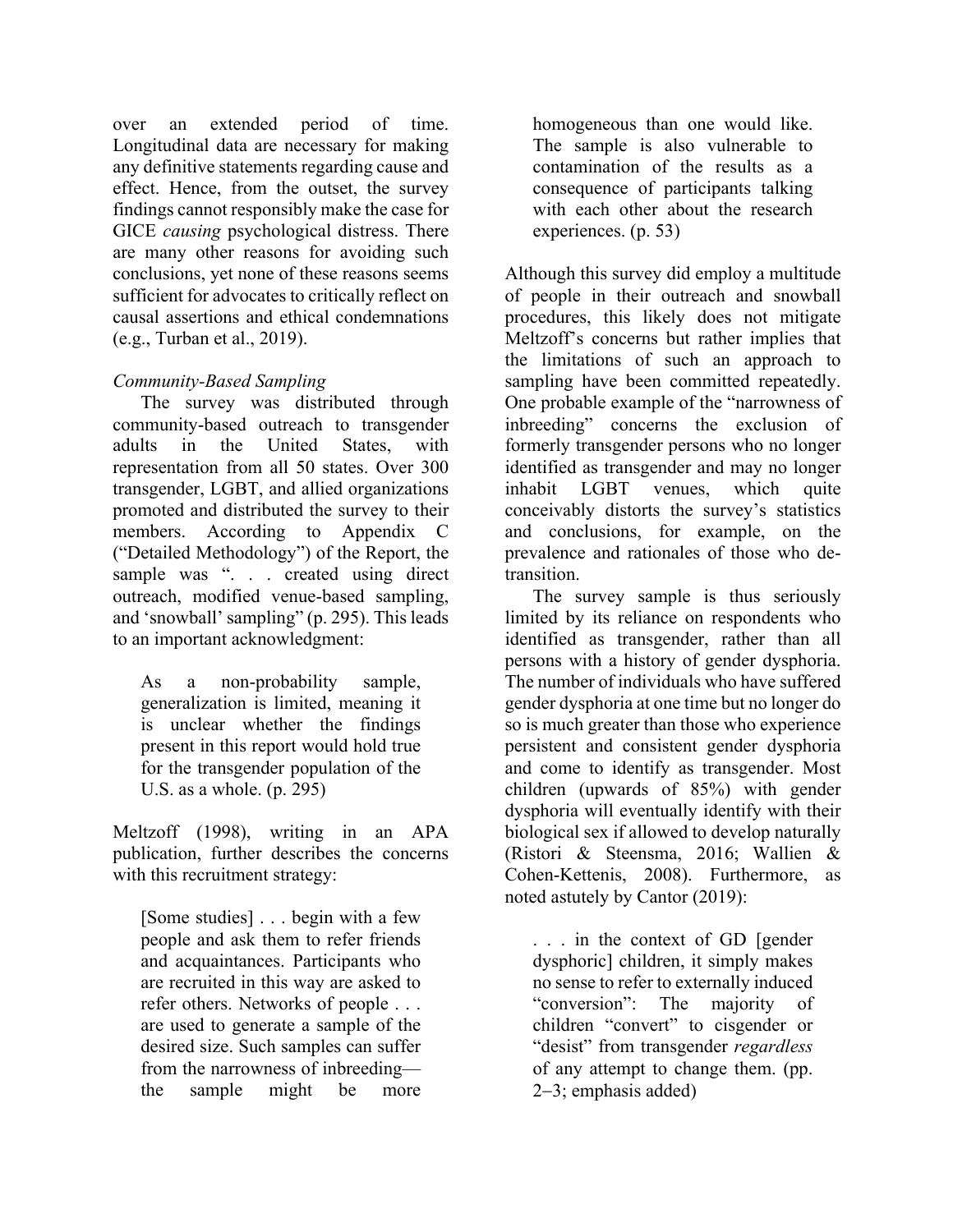over an extended period of time. Longitudinal data are necessary for making any definitive statements regarding cause and effect. Hence, from the outset, the survey findings cannot responsibly make the case for GICE *causing* psychological distress. There are many other reasons for avoiding such conclusions, yet none of these reasons seems sufficient for advocates to critically reflect on causal assertions and ethical condemnations (e.g., Turban et al., 2019).

# *Community-Based Sampling*

The survey was distributed through community-based outreach to transgender adults in the United States, with representation from all 50 states. Over 300 transgender, LGBT, and allied organizations promoted and distributed the survey to their members. According to Appendix C ("Detailed Methodology") of the Report, the sample was ". . . created using direct outreach, modified venue-based sampling, and 'snowball' sampling" (p. 295). This leads to an important acknowledgment:

As a non-probability sample, generalization is limited, meaning it is unclear whether the findings present in this report would hold true for the transgender population of the U.S. as a whole. (p. 295)

Meltzoff (1998), writing in an APA publication, further describes the concerns with this recruitment strategy:

[Some studies] . . . begin with a few people and ask them to refer friends and acquaintances. Participants who are recruited in this way are asked to refer others. Networks of people . . . are used to generate a sample of the desired size. Such samples can suffer from the narrowness of inbreeding the sample might be more

homogeneous than one would like. The sample is also vulnerable to contamination of the results as a consequence of participants talking with each other about the research experiences. (p. 53)

Although this survey did employ a multitude of people in their outreach and snowball procedures, this likely does not mitigate Meltzoff's concerns but rather implies that the limitations of such an approach to sampling have been committed repeatedly. One probable example of the "narrowness of inbreeding" concerns the exclusion of formerly transgender persons who no longer identified as transgender and may no longer inhabit LGBT venues, which quite conceivably distorts the survey's statistics and conclusions, for example, on the prevalence and rationales of those who detransition.

The survey sample is thus seriously limited by its reliance on respondents who identified as transgender, rather than all persons with a history of gender dysphoria. The number of individuals who have suffered gender dysphoria at one time but no longer do so is much greater than those who experience persistent and consistent gender dysphoria and come to identify as transgender. Most children (upwards of 85%) with gender dysphoria will eventually identify with their biological sex if allowed to develop naturally (Ristori & Steensma, 2016; Wallien & Cohen-Kettenis, 2008). Furthermore, as noted astutely by Cantor (2019):

. . . in the context of GD [gender dysphoric] children, it simply makes no sense to refer to externally induced "conversion": The majority of children "convert" to cisgender or "desist" from transgender *regardless* of any attempt to change them. (pp. 2-3; emphasis added)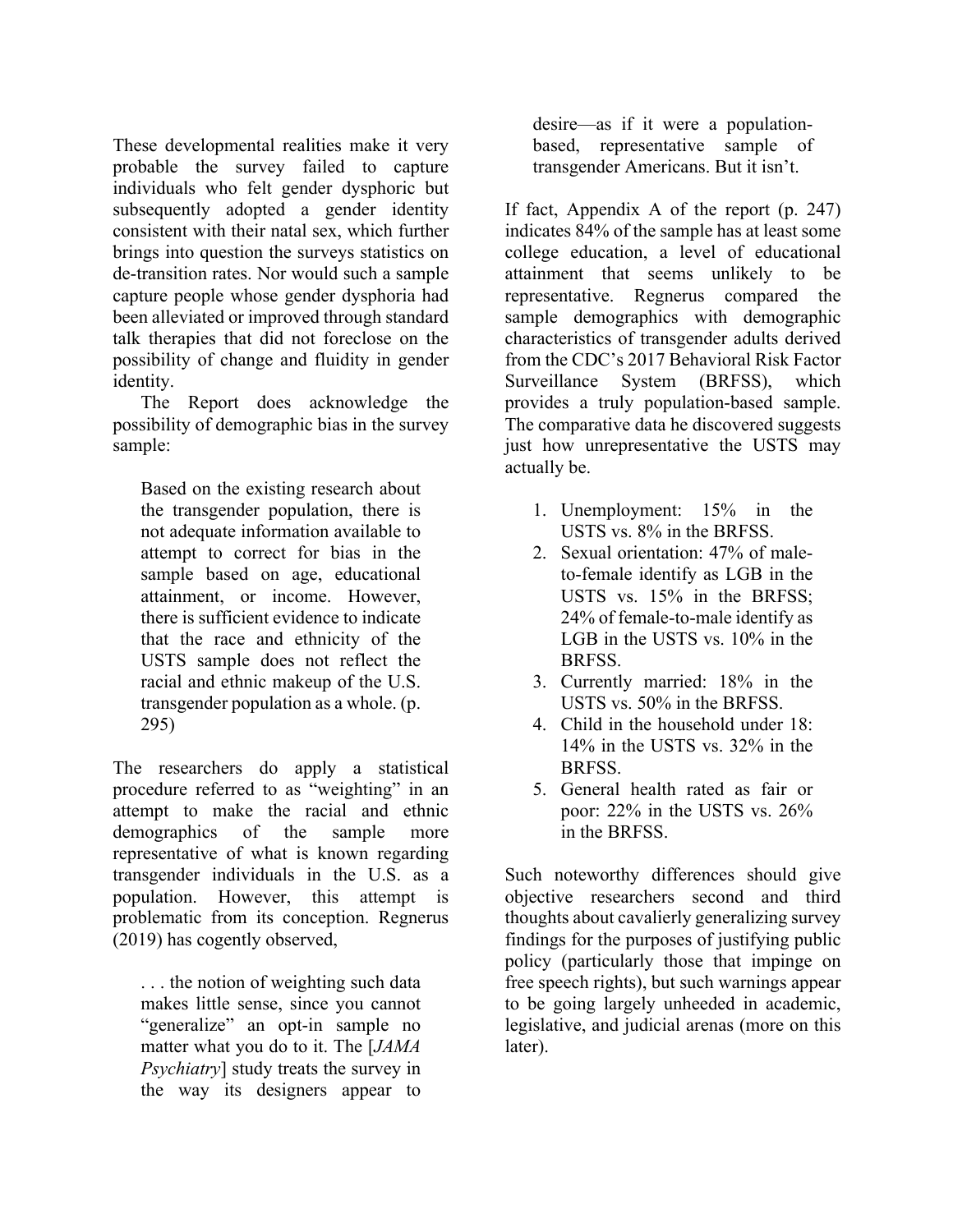These developmental realities make it very probable the survey failed to capture individuals who felt gender dysphoric but subsequently adopted a gender identity consistent with their natal sex, which further brings into question the surveys statistics on de-transition rates. Nor would such a sample capture people whose gender dysphoria had been alleviated or improved through standard talk therapies that did not foreclose on the possibility of change and fluidity in gender identity.

The Report does acknowledge the possibility of demographic bias in the survey sample:

Based on the existing research about the transgender population, there is not adequate information available to attempt to correct for bias in the sample based on age, educational attainment, or income. However, there is sufficient evidence to indicate that the race and ethnicity of the USTS sample does not reflect the racial and ethnic makeup of the U.S. transgender population as a whole. (p. 295)

The researchers do apply a statistical procedure referred to as "weighting" in an attempt to make the racial and ethnic demographics of the sample more representative of what is known regarding transgender individuals in the U.S. as a population. However, this attempt is problematic from its conception. Regnerus (2019) has cogently observed,

. . . the notion of weighting such data makes little sense, since you cannot "generalize" an opt-in sample no matter what you do to it. The [*JAMA Psychiatry*] study treats the survey in the way its designers appear to

desire—as if it were a populationbased, representative sample of transgender Americans. But it isn't.

If fact, Appendix A of the report (p. 247) indicates 84% of the sample has at least some college education, a level of educational attainment that seems unlikely to be representative. Regnerus compared the sample demographics with demographic characteristics of transgender adults derived from the CDC's 2017 Behavioral Risk Factor Surveillance System (BRFSS), which provides a truly population-based sample. The comparative data he discovered suggests just how unrepresentative the USTS may actually be.

- 1. Unemployment: 15% in the USTS vs. 8% in the BRFSS.
- 2. Sexual orientation: 47% of maleto-female identify as LGB in the USTS vs. 15% in the BRFSS; 24% of female-to-male identify as LGB in the USTS vs. 10% in the BRFSS.
- 3. Currently married: 18% in the USTS vs. 50% in the BRFSS.
- 4. Child in the household under 18: 14% in the USTS vs. 32% in the BRFSS.
- 5. General health rated as fair or poor: 22% in the USTS vs. 26% in the BRFSS.

Such noteworthy differences should give objective researchers second and third thoughts about cavalierly generalizing survey findings for the purposes of justifying public policy (particularly those that impinge on free speech rights), but such warnings appear to be going largely unheeded in academic, legislative, and judicial arenas (more on this later).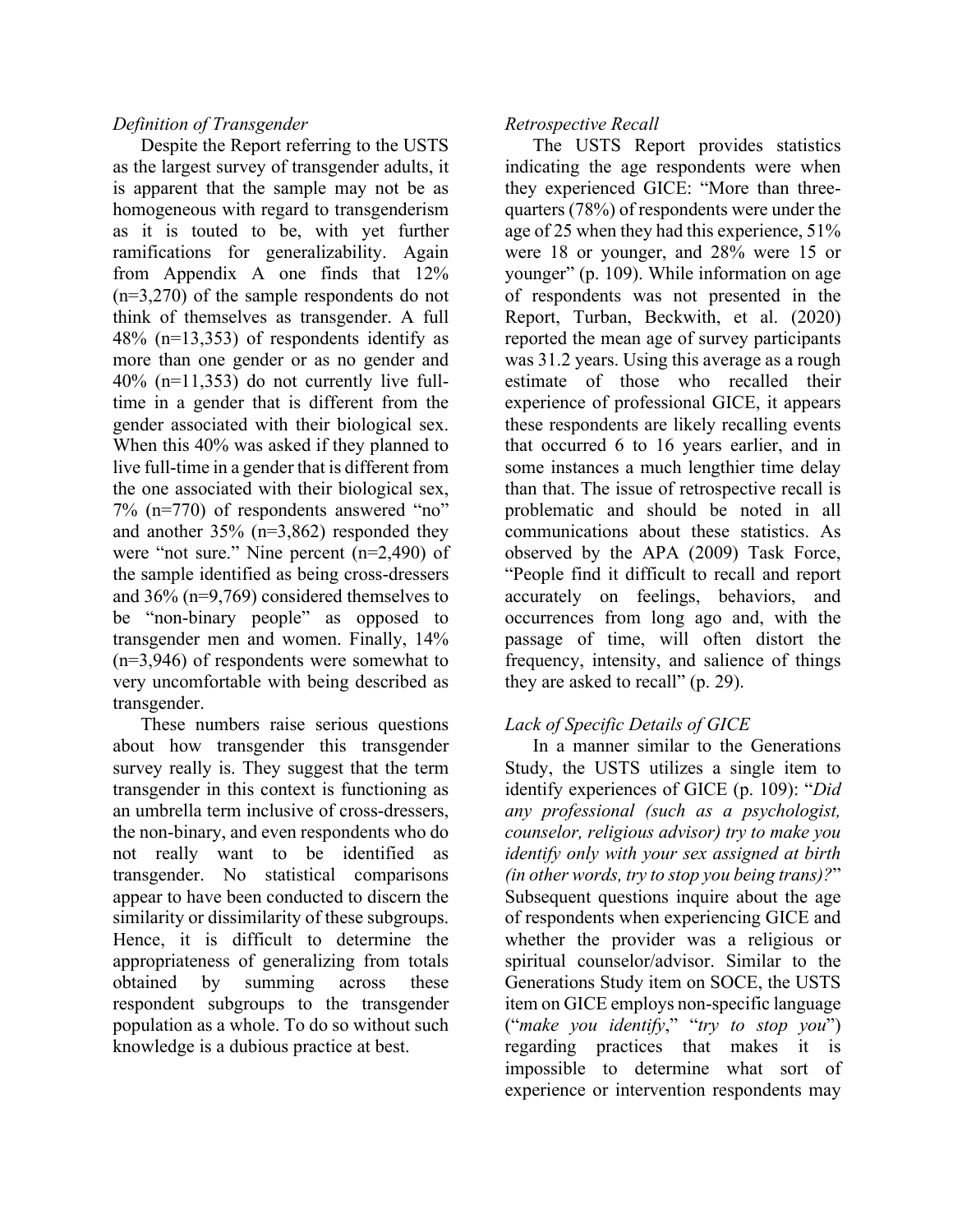#### *Definition of Transgender*

Despite the Report referring to the USTS as the largest survey of transgender adults, it is apparent that the sample may not be as homogeneous with regard to transgenderism as it is touted to be, with yet further ramifications for generalizability. Again from Appendix A one finds that 12% (n=3,270) of the sample respondents do not think of themselves as transgender. A full 48% (n=13,353) of respondents identify as more than one gender or as no gender and 40% (n=11,353) do not currently live fulltime in a gender that is different from the gender associated with their biological sex. When this 40% was asked if they planned to live full-time in a gender that is different from the one associated with their biological sex, 7% (n=770) of respondents answered "no" and another 35% (n=3,862) responded they were "not sure." Nine percent (n=2,490) of the sample identified as being cross-dressers and 36% (n=9,769) considered themselves to be "non-binary people" as opposed to transgender men and women. Finally, 14% (n=3,946) of respondents were somewhat to very uncomfortable with being described as transgender.

These numbers raise serious questions about how transgender this transgender survey really is. They suggest that the term transgender in this context is functioning as an umbrella term inclusive of cross-dressers, the non-binary, and even respondents who do not really want to be identified as transgender. No statistical comparisons appear to have been conducted to discern the similarity or dissimilarity of these subgroups. Hence, it is difficult to determine the appropriateness of generalizing from totals obtained by summing across these respondent subgroups to the transgender population as a whole. To do so without such knowledge is a dubious practice at best.

#### *Retrospective Recall*

The USTS Report provides statistics indicating the age respondents were when they experienced GICE: "More than threequarters (78%) of respondents were under the age of 25 when they had this experience, 51% were 18 or younger, and 28% were 15 or younger" (p. 109). While information on age of respondents was not presented in the Report, Turban, Beckwith, et al. (2020) reported the mean age of survey participants was 31.2 years. Using this average as a rough estimate of those who recalled their experience of professional GICE, it appears these respondents are likely recalling events that occurred 6 to 16 years earlier, and in some instances a much lengthier time delay than that. The issue of retrospective recall is problematic and should be noted in all communications about these statistics. As observed by the APA (2009) Task Force, "People find it difficult to recall and report accurately on feelings, behaviors, and occurrences from long ago and, with the passage of time, will often distort the frequency, intensity, and salience of things they are asked to recall" (p. 29).

# *Lack of Specific Details of GICE*

In a manner similar to the Generations Study, the USTS utilizes a single item to identify experiences of GICE (p. 109): "*Did any professional (such as a psychologist, counselor, religious advisor) try to make you identify only with your sex assigned at birth (in other words, try to stop you being trans)?*" Subsequent questions inquire about the age of respondents when experiencing GICE and whether the provider was a religious or spiritual counselor/advisor. Similar to the Generations Study item on SOCE, the USTS item on GICE employs non-specific language ("*make you identify*," "*try to stop you*") regarding practices that makes it is impossible to determine what sort of experience or intervention respondents may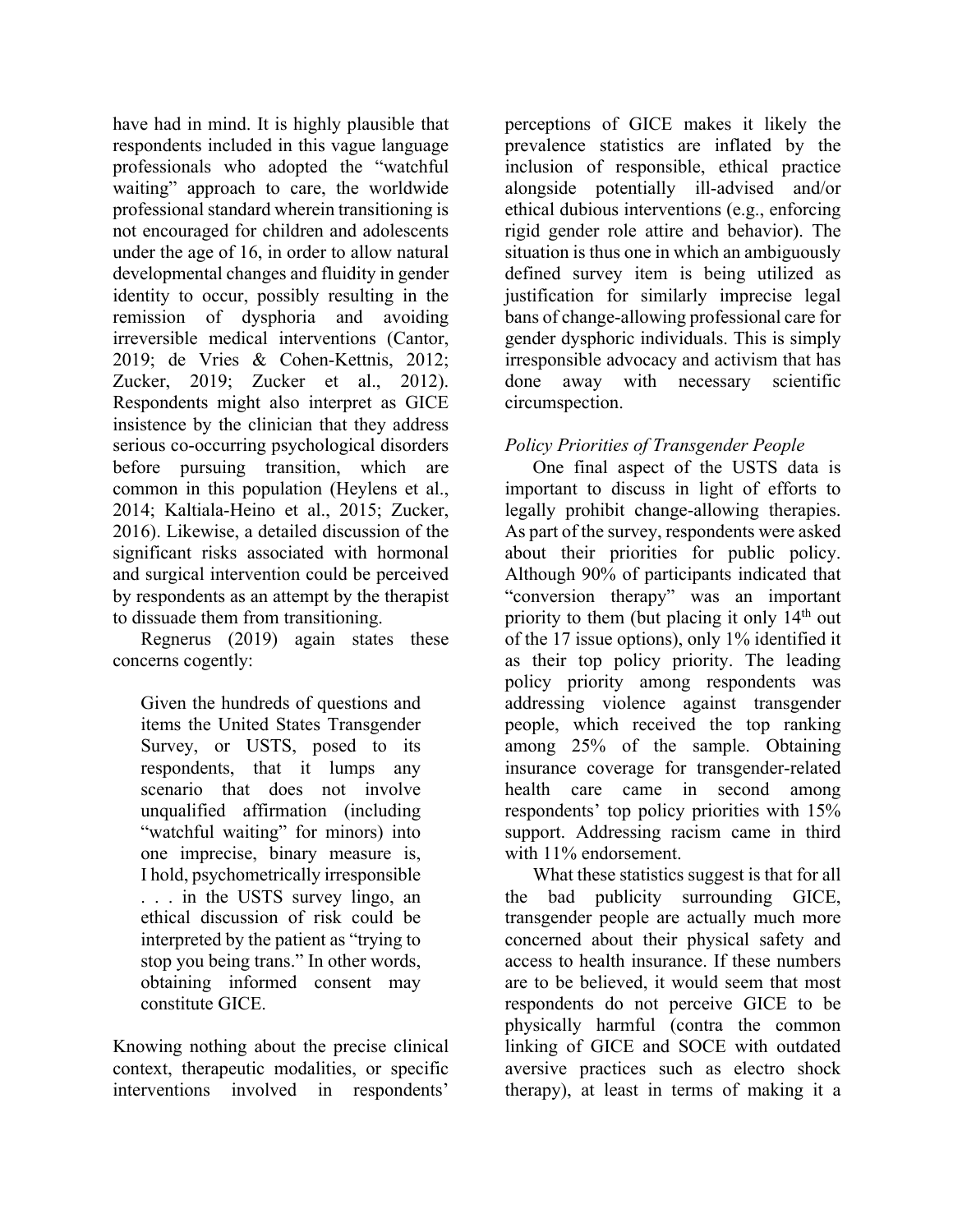have had in mind. It is highly plausible that respondents included in this vague language professionals who adopted the "watchful waiting" approach to care, the worldwide professional standard wherein transitioning is not encouraged for children and adolescents under the age of 16, in order to allow natural developmental changes and fluidity in gender identity to occur, possibly resulting in the remission of dysphoria and avoiding irreversible medical interventions (Cantor, 2019; de Vries & Cohen-Kettnis, 2012; Zucker, 2019; Zucker et al., 2012). Respondents might also interpret as GICE insistence by the clinician that they address serious co-occurring psychological disorders before pursuing transition, which are common in this population (Heylens et al., 2014; Kaltiala-Heino et al., 2015; Zucker, 2016). Likewise, a detailed discussion of the significant risks associated with hormonal and surgical intervention could be perceived by respondents as an attempt by the therapist to dissuade them from transitioning.

Regnerus (2019) again states these concerns cogently:

Given the hundreds of questions and items the United States Transgender Survey, or USTS, posed to its respondents, that it lumps any scenario that does not involve unqualified affirmation (including "watchful waiting" for minors) into one imprecise, binary measure is, I hold, psychometrically irresponsible . . . in the USTS survey lingo, an ethical discussion of risk could be interpreted by the patient as "trying to stop you being trans." In other words, obtaining informed consent may constitute GICE.

Knowing nothing about the precise clinical context, therapeutic modalities, or specific interventions involved in respondents'

perceptions of GICE makes it likely the prevalence statistics are inflated by the inclusion of responsible, ethical practice alongside potentially ill-advised and/or ethical dubious interventions (e.g., enforcing rigid gender role attire and behavior). The situation is thus one in which an ambiguously defined survey item is being utilized as justification for similarly imprecise legal bans of change-allowing professional care for gender dysphoric individuals. This is simply irresponsible advocacy and activism that has done away with necessary scientific circumspection.

# *Policy Priorities of Transgender People*

One final aspect of the USTS data is important to discuss in light of efforts to legally prohibit change-allowing therapies. As part of the survey, respondents were asked about their priorities for public policy. Although 90% of participants indicated that "conversion therapy" was an important priority to them (but placing it only 14<sup>th</sup> out of the 17 issue options), only 1% identified it as their top policy priority. The leading policy priority among respondents was addressing violence against transgender people, which received the top ranking among 25% of the sample. Obtaining insurance coverage for transgender-related health care came in second among respondents' top policy priorities with 15% support. Addressing racism came in third with 11% endorsement.

What these statistics suggest is that for all the bad publicity surrounding GICE, transgender people are actually much more concerned about their physical safety and access to health insurance. If these numbers are to be believed, it would seem that most respondents do not perceive GICE to be physically harmful (contra the common linking of GICE and SOCE with outdated aversive practices such as electro shock therapy), at least in terms of making it a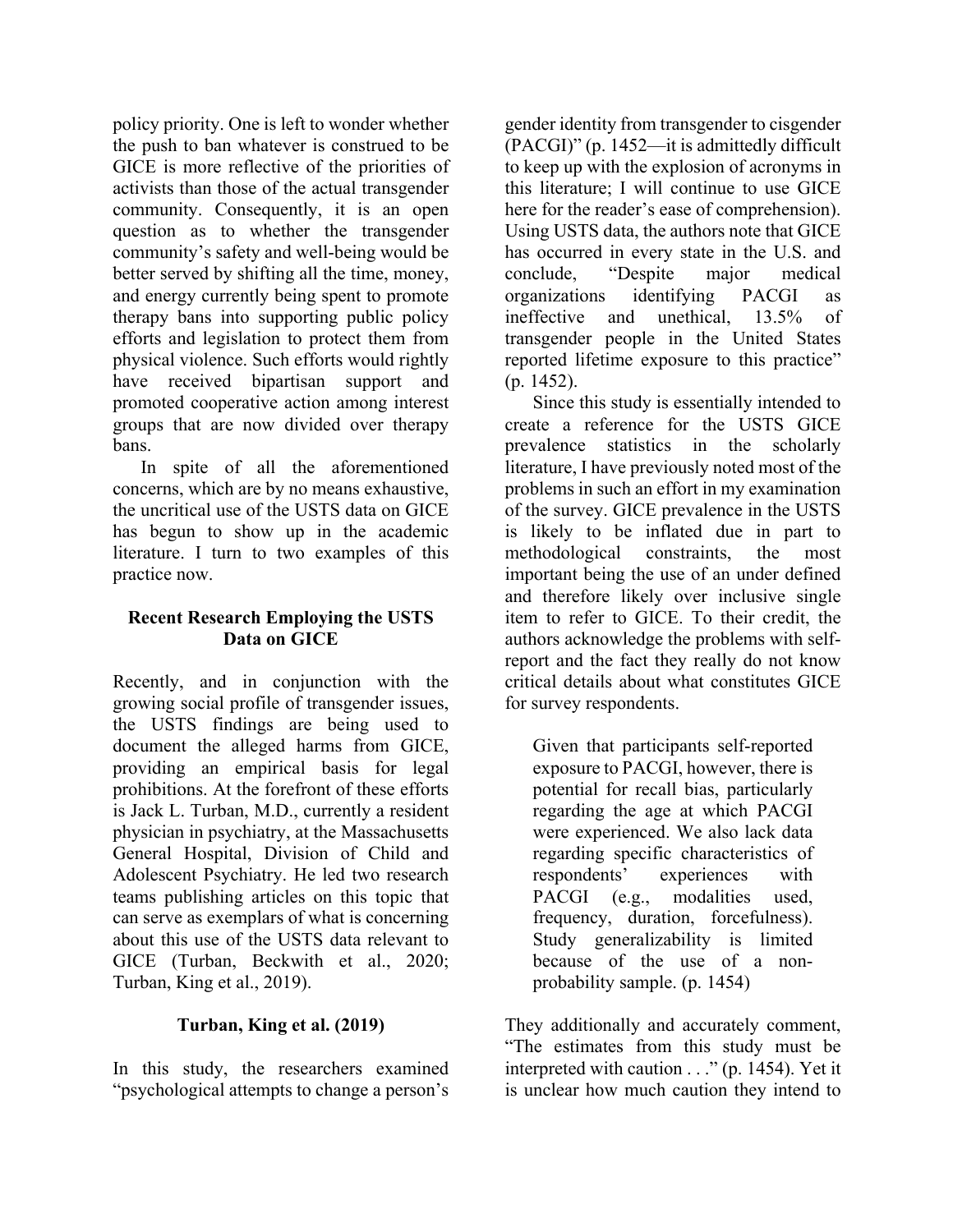policy priority. One is left to wonder whether the push to ban whatever is construed to be GICE is more reflective of the priorities of activists than those of the actual transgender community. Consequently, it is an open question as to whether the transgender community's safety and well-being would be better served by shifting all the time, money, and energy currently being spent to promote therapy bans into supporting public policy efforts and legislation to protect them from physical violence. Such efforts would rightly have received bipartisan support and promoted cooperative action among interest groups that are now divided over therapy bans.

In spite of all the aforementioned concerns, which are by no means exhaustive, the uncritical use of the USTS data on GICE has begun to show up in the academic literature. I turn to two examples of this practice now.

# **Recent Research Employing the USTS Data on GICE**

Recently, and in conjunction with the growing social profile of transgender issues, the USTS findings are being used to document the alleged harms from GICE, providing an empirical basis for legal prohibitions. At the forefront of these efforts is Jack L. Turban, M.D., currently a resident physician in psychiatry, at the Massachusetts General Hospital, Division of Child and Adolescent Psychiatry. He led two research teams publishing articles on this topic that can serve as exemplars of what is concerning about this use of the USTS data relevant to GICE (Turban, Beckwith et al., 2020; Turban, King et al., 2019).

# **Turban, King et al. (2019)**

In this study, the researchers examined "psychological attempts to change a person's gender identity from transgender to cisgender (PACGI)" (p. 1452—it is admittedly difficult to keep up with the explosion of acronyms in this literature; I will continue to use GICE here for the reader's ease of comprehension). Using USTS data, the authors note that GICE has occurred in every state in the U.S. and conclude, "Despite major medical organizations identifying PACGI as ineffective and unethical, 13.5% of transgender people in the United States reported lifetime exposure to this practice" (p. 1452).

Since this study is essentially intended to create a reference for the USTS GICE prevalence statistics in the scholarly literature, I have previously noted most of the problems in such an effort in my examination of the survey. GICE prevalence in the USTS is likely to be inflated due in part to methodological constraints, the most important being the use of an under defined and therefore likely over inclusive single item to refer to GICE. To their credit, the authors acknowledge the problems with selfreport and the fact they really do not know critical details about what constitutes GICE for survey respondents.

Given that participants self-reported exposure to PACGI, however, there is potential for recall bias, particularly regarding the age at which PACGI were experienced. We also lack data regarding specific characteristics of respondents' experiences with PACGI (e.g., modalities used, frequency, duration, forcefulness). Study generalizability is limited because of the use of a nonprobability sample. (p. 1454)

They additionally and accurately comment, "The estimates from this study must be interpreted with caution . . ." (p. 1454). Yet it is unclear how much caution they intend to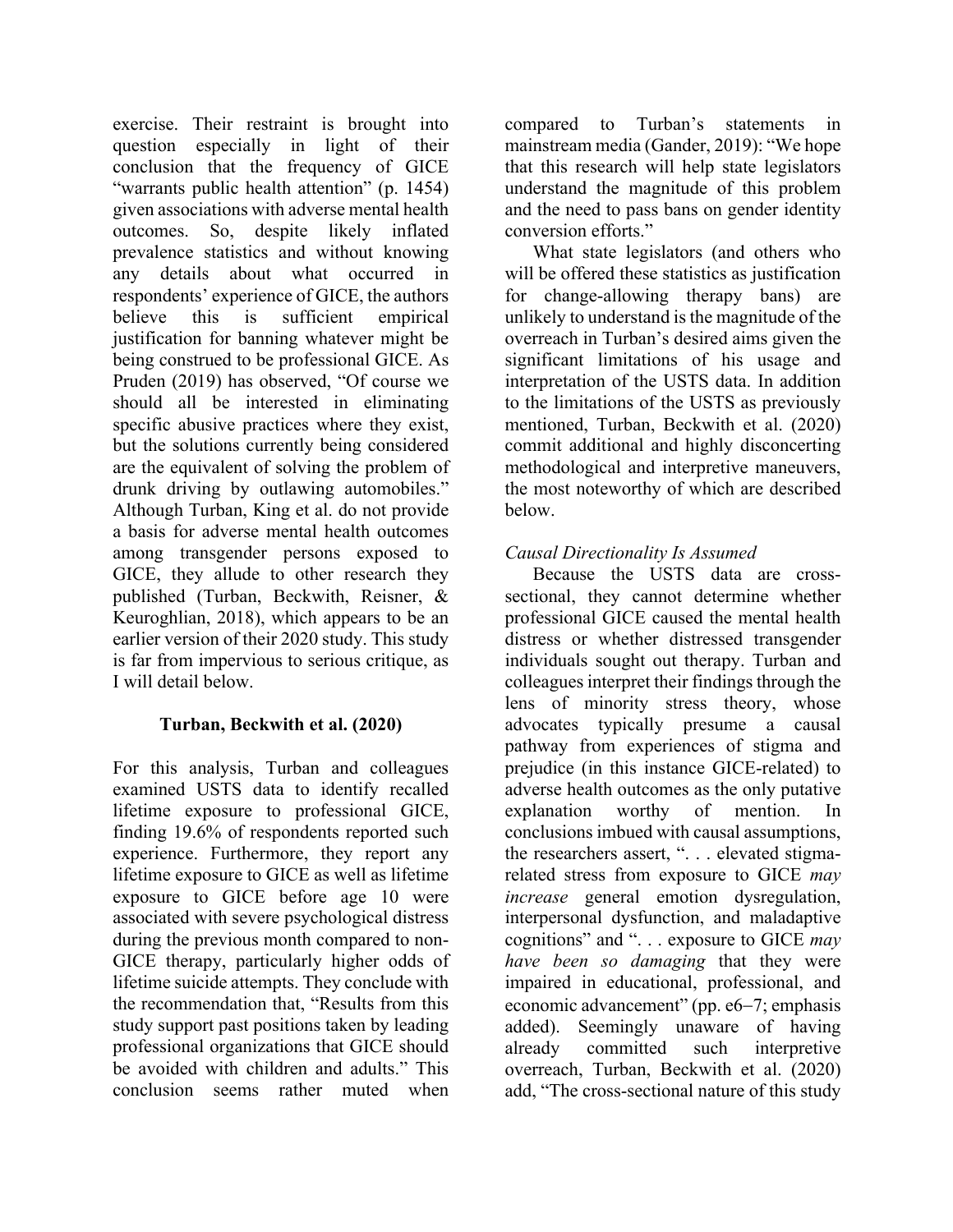exercise. Their restraint is brought into question especially in light of their conclusion that the frequency of GICE "warrants public health attention" (p. 1454) given associations with adverse mental health outcomes. So, despite likely inflated prevalence statistics and without knowing any details about what occurred in respondents' experience of GICE, the authors believe this is sufficient empirical justification for banning whatever might be being construed to be professional GICE. As Pruden (2019) has observed, "Of course we should all be interested in eliminating specific abusive practices where they exist, but the solutions currently being considered are the equivalent of solving the problem of drunk driving by outlawing automobiles." Although Turban, King et al. do not provide a basis for adverse mental health outcomes among transgender persons exposed to GICE, they allude to other research they published (Turban, Beckwith, Reisner, & Keuroghlian, 2018), which appears to be an earlier version of their 2020 study. This study is far from impervious to serious critique, as I will detail below.

# **Turban, Beckwith et al. (2020)**

For this analysis, Turban and colleagues examined USTS data to identify recalled lifetime exposure to professional GICE, finding 19.6% of respondents reported such experience. Furthermore, they report any lifetime exposure to GICE as well as lifetime exposure to GICE before age 10 were associated with severe psychological distress during the previous month compared to non-GICE therapy, particularly higher odds of lifetime suicide attempts. They conclude with the recommendation that, "Results from this study support past positions taken by leading professional organizations that GICE should be avoided with children and adults." This conclusion seems rather muted when

compared to Turban's statements in mainstream media (Gander, 2019): "We hope that this research will help state legislators understand the magnitude of this problem and the need to pass bans on gender identity conversion efforts."

What state legislators (and others who will be offered these statistics as justification for change-allowing therapy bans) are unlikely to understand is the magnitude of the overreach in Turban's desired aims given the significant limitations of his usage and interpretation of the USTS data. In addition to the limitations of the USTS as previously mentioned, Turban, Beckwith et al. (2020) commit additional and highly disconcerting methodological and interpretive maneuvers, the most noteworthy of which are described below.

# *Causal Directionality Is Assumed*

Because the USTS data are crosssectional, they cannot determine whether professional GICE caused the mental health distress or whether distressed transgender individuals sought out therapy. Turban and colleagues interpret their findings through the lens of minority stress theory, whose advocates typically presume a causal pathway from experiences of stigma and prejudice (in this instance GICE-related) to adverse health outcomes as the only putative explanation worthy of mention. In conclusions imbued with causal assumptions, the researchers assert, ". . . elevated stigmarelated stress from exposure to GICE *may increase* general emotion dysregulation, interpersonal dysfunction, and maladaptive cognitions" and ". . . exposure to GICE *may have been so damaging* that they were impaired in educational, professional, and economic advancement" (pp. e6-7; emphasis added). Seemingly unaware of having already committed such interpretive overreach, Turban, Beckwith et al. (2020) add, "The cross-sectional nature of this study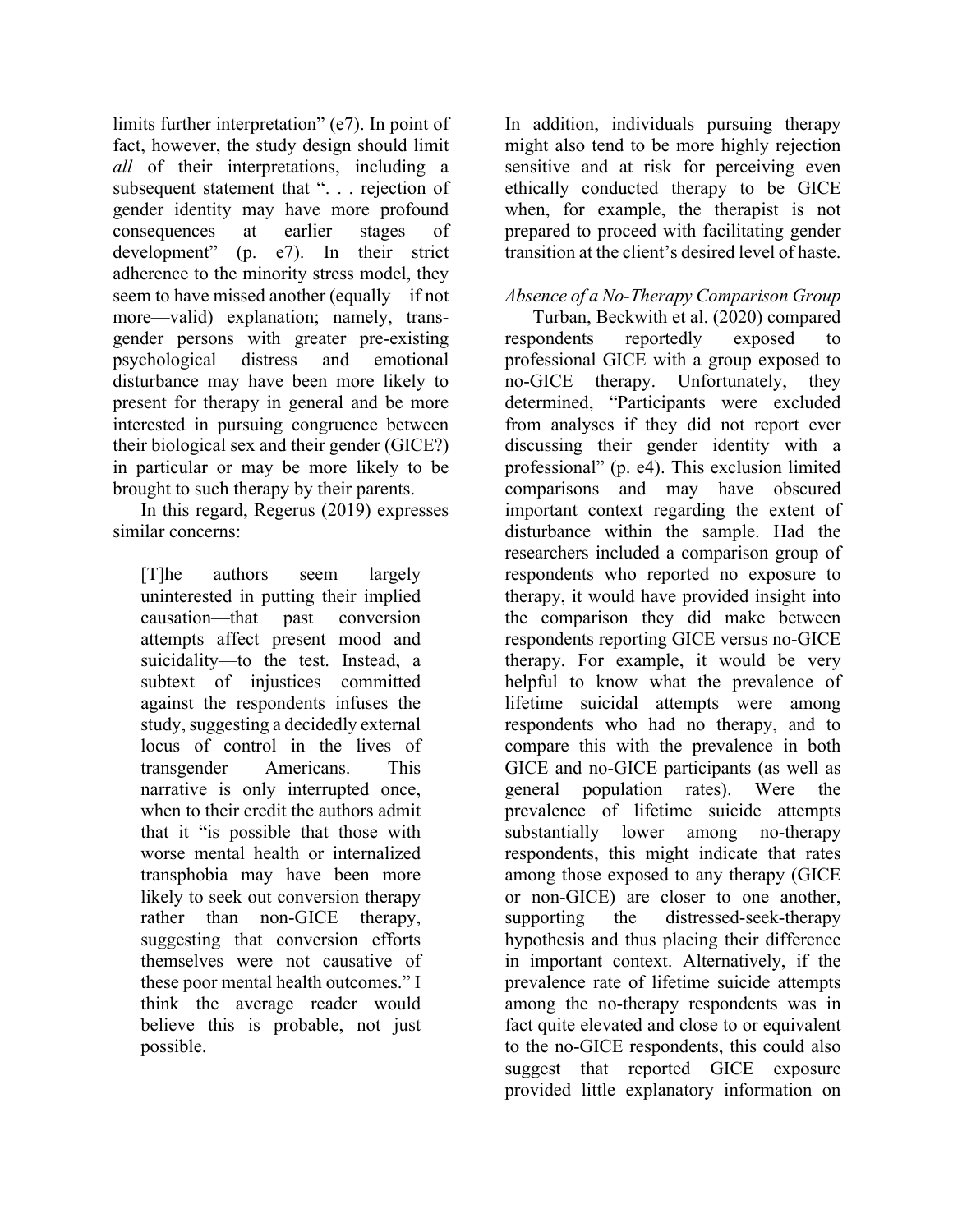limits further interpretation" (e7). In point of fact, however, the study design should limit *all* of their interpretations, including a subsequent statement that ". . . rejection of gender identity may have more profound consequences at earlier stages of development" (p. e7). In their strict adherence to the minority stress model, they seem to have missed another (equally—if not more—valid) explanation; namely, transgender persons with greater pre-existing psychological distress and emotional disturbance may have been more likely to present for therapy in general and be more interested in pursuing congruence between their biological sex and their gender (GICE?) in particular or may be more likely to be brought to such therapy by their parents.

In this regard, Regerus (2019) expresses similar concerns:

[T]he authors seem largely uninterested in putting their implied causation—that past conversion attempts affect present mood and suicidality—to the test. Instead, a subtext of injustices committed against the respondents infuses the study, suggesting a decidedly external locus of control in the lives of transgender Americans. This narrative is only interrupted once, when to their credit the authors admit that it "is possible that those with worse mental health or internalized transphobia may have been more likely to seek out conversion therapy rather than non-GICE therapy, suggesting that conversion efforts themselves were not causative of these poor mental health outcomes." I think the average reader would believe this is probable, not just possible.

In addition, individuals pursuing therapy might also tend to be more highly rejection sensitive and at risk for perceiving even ethically conducted therapy to be GICE when, for example, the therapist is not prepared to proceed with facilitating gender transition at the client's desired level of haste.

#### *Absence of a No-Therapy Comparison Group*

Turban, Beckwith et al. (2020) compared respondents reportedly exposed to professional GICE with a group exposed to no-GICE therapy. Unfortunately, they determined, "Participants were excluded from analyses if they did not report ever discussing their gender identity with a professional" (p. e4). This exclusion limited comparisons and may have obscured important context regarding the extent of disturbance within the sample. Had the researchers included a comparison group of respondents who reported no exposure to therapy, it would have provided insight into the comparison they did make between respondents reporting GICE versus no-GICE therapy. For example, it would be very helpful to know what the prevalence of lifetime suicidal attempts were among respondents who had no therapy, and to compare this with the prevalence in both GICE and no-GICE participants (as well as general population rates). Were the prevalence of lifetime suicide attempts substantially lower among no-therapy respondents, this might indicate that rates among those exposed to any therapy (GICE or non-GICE) are closer to one another, supporting the distressed-seek-therapy hypothesis and thus placing their difference in important context. Alternatively, if the prevalence rate of lifetime suicide attempts among the no-therapy respondents was in fact quite elevated and close to or equivalent to the no-GICE respondents, this could also suggest that reported GICE exposure provided little explanatory information on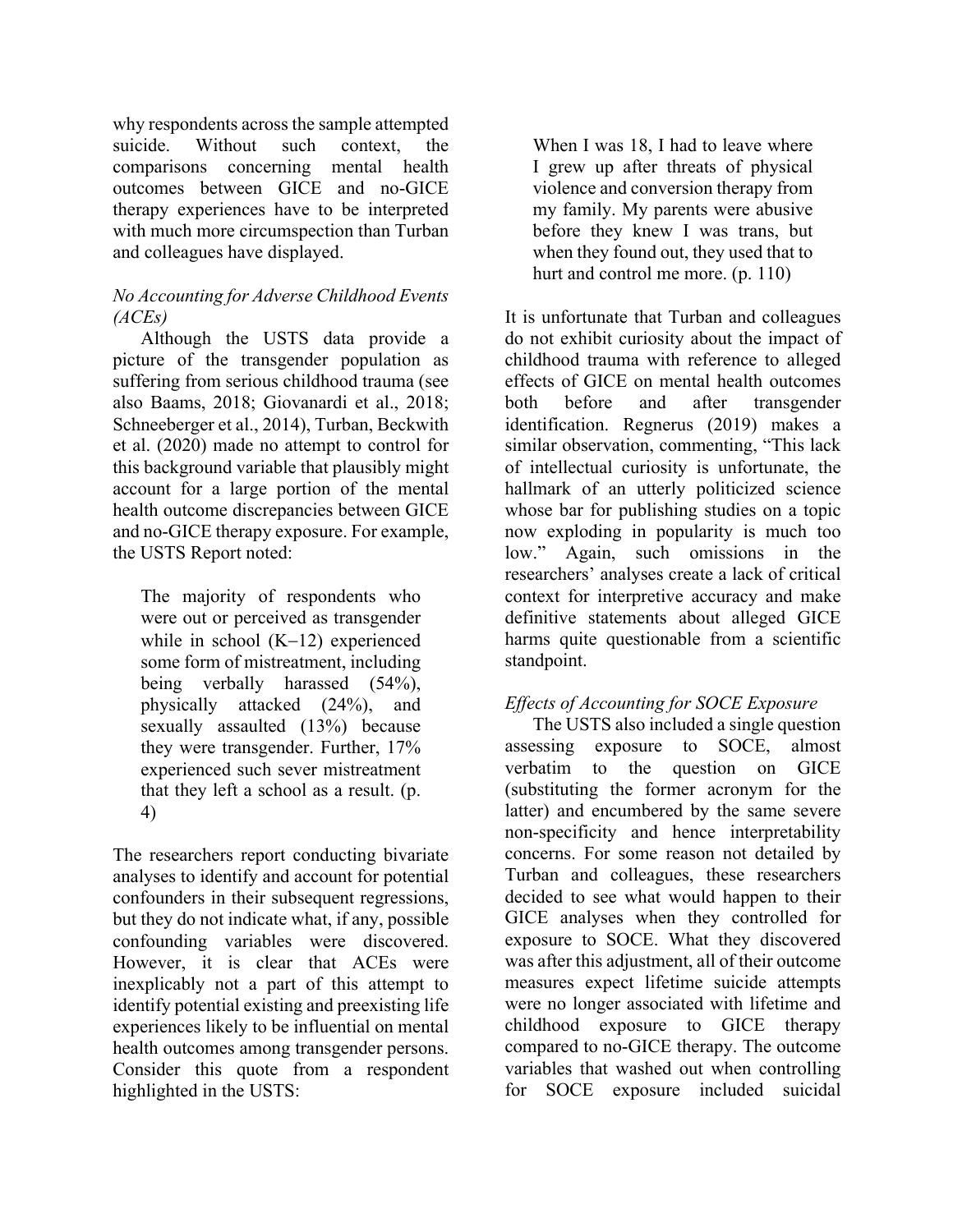why respondents across the sample attempted suicide. Without such context, the comparisons concerning mental health outcomes between GICE and no-GICE therapy experiences have to be interpreted with much more circumspection than Turban and colleagues have displayed.

# *No Accounting for Adverse Childhood Events (ACEs)*

Although the USTS data provide a picture of the transgender population as suffering from serious childhood trauma (see also Baams, 2018; Giovanardi et al., 2018; Schneeberger et al., 2014), Turban, Beckwith et al. (2020) made no attempt to control for this background variable that plausibly might account for a large portion of the mental health outcome discrepancies between GICE and no-GICE therapy exposure. For example, the USTS Report noted:

The majority of respondents who were out or perceived as transgender while in school  $(K-12)$  experienced some form of mistreatment, including being verbally harassed (54%), physically attacked (24%), and sexually assaulted (13%) because they were transgender. Further, 17% experienced such sever mistreatment that they left a school as a result. (p. 4)

The researchers report conducting bivariate analyses to identify and account for potential confounders in their subsequent regressions, but they do not indicate what, if any, possible confounding variables were discovered. However, it is clear that ACEs were inexplicably not a part of this attempt to identify potential existing and preexisting life experiences likely to be influential on mental health outcomes among transgender persons. Consider this quote from a respondent highlighted in the USTS:

When I was 18, I had to leave where I grew up after threats of physical violence and conversion therapy from my family. My parents were abusive before they knew I was trans, but when they found out, they used that to hurt and control me more. (p. 110)

It is unfortunate that Turban and colleagues do not exhibit curiosity about the impact of childhood trauma with reference to alleged effects of GICE on mental health outcomes both before and after transgender identification. Regnerus (2019) makes a similar observation, commenting, "This lack of intellectual curiosity is unfortunate, the hallmark of an utterly politicized science whose bar for publishing studies on a topic now exploding in popularity is much too low." Again, such omissions in the researchers' analyses create a lack of critical context for interpretive accuracy and make definitive statements about alleged GICE harms quite questionable from a scientific standpoint.

# *Effects of Accounting for SOCE Exposure*

The USTS also included a single question assessing exposure to SOCE, almost verbatim to the question on GICE (substituting the former acronym for the latter) and encumbered by the same severe non-specificity and hence interpretability concerns. For some reason not detailed by Turban and colleagues, these researchers decided to see what would happen to their GICE analyses when they controlled for exposure to SOCE. What they discovered was after this adjustment, all of their outcome measures expect lifetime suicide attempts were no longer associated with lifetime and childhood exposure to GICE therapy compared to no-GICE therapy. The outcome variables that washed out when controlling for SOCE exposure included suicidal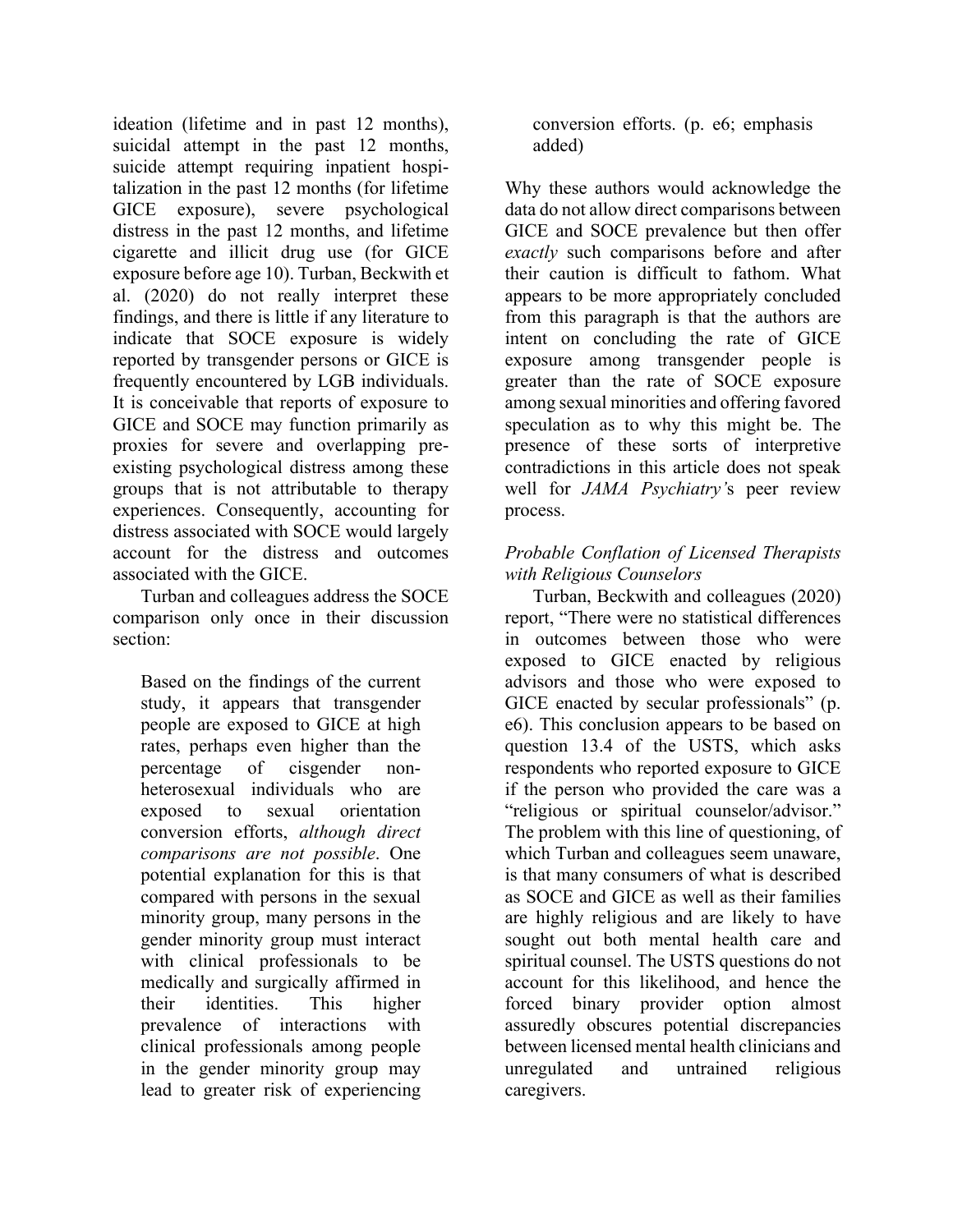ideation (lifetime and in past 12 months), suicidal attempt in the past 12 months, suicide attempt requiring inpatient hospitalization in the past 12 months (for lifetime GICE exposure), severe psychological distress in the past 12 months, and lifetime cigarette and illicit drug use (for GICE exposure before age 10). Turban, Beckwith et al. (2020) do not really interpret these findings, and there is little if any literature to indicate that SOCE exposure is widely reported by transgender persons or GICE is frequently encountered by LGB individuals. It is conceivable that reports of exposure to GICE and SOCE may function primarily as proxies for severe and overlapping preexisting psychological distress among these groups that is not attributable to therapy experiences. Consequently, accounting for distress associated with SOCE would largely account for the distress and outcomes associated with the GICE.

Turban and colleagues address the SOCE comparison only once in their discussion section:

Based on the findings of the current study, it appears that transgender people are exposed to GICE at high rates, perhaps even higher than the percentage of cisgender nonheterosexual individuals who are exposed to sexual orientation conversion efforts, *although direct comparisons are not possible*. One potential explanation for this is that compared with persons in the sexual minority group, many persons in the gender minority group must interact with clinical professionals to be medically and surgically affirmed in their identities. This higher prevalence of interactions with clinical professionals among people in the gender minority group may lead to greater risk of experiencing conversion efforts. (p. e6; emphasis added)

Why these authors would acknowledge the data do not allow direct comparisons between GICE and SOCE prevalence but then offer *exactly* such comparisons before and after their caution is difficult to fathom. What appears to be more appropriately concluded from this paragraph is that the authors are intent on concluding the rate of GICE exposure among transgender people is greater than the rate of SOCE exposure among sexual minorities and offering favored speculation as to why this might be. The presence of these sorts of interpretive contradictions in this article does not speak well for *JAMA Psychiatry'*s peer review process.

#### *Probable Conflation of Licensed Therapists with Religious Counselors*

Turban, Beckwith and colleagues (2020) report, "There were no statistical differences in outcomes between those who were exposed to GICE enacted by religious advisors and those who were exposed to GICE enacted by secular professionals" (p. e6). This conclusion appears to be based on question 13.4 of the USTS, which asks respondents who reported exposure to GICE if the person who provided the care was a "religious or spiritual counselor/advisor." The problem with this line of questioning, of which Turban and colleagues seem unaware, is that many consumers of what is described as SOCE and GICE as well as their families are highly religious and are likely to have sought out both mental health care and spiritual counsel. The USTS questions do not account for this likelihood, and hence the forced binary provider option almost assuredly obscures potential discrepancies between licensed mental health clinicians and unregulated and untrained religious caregivers.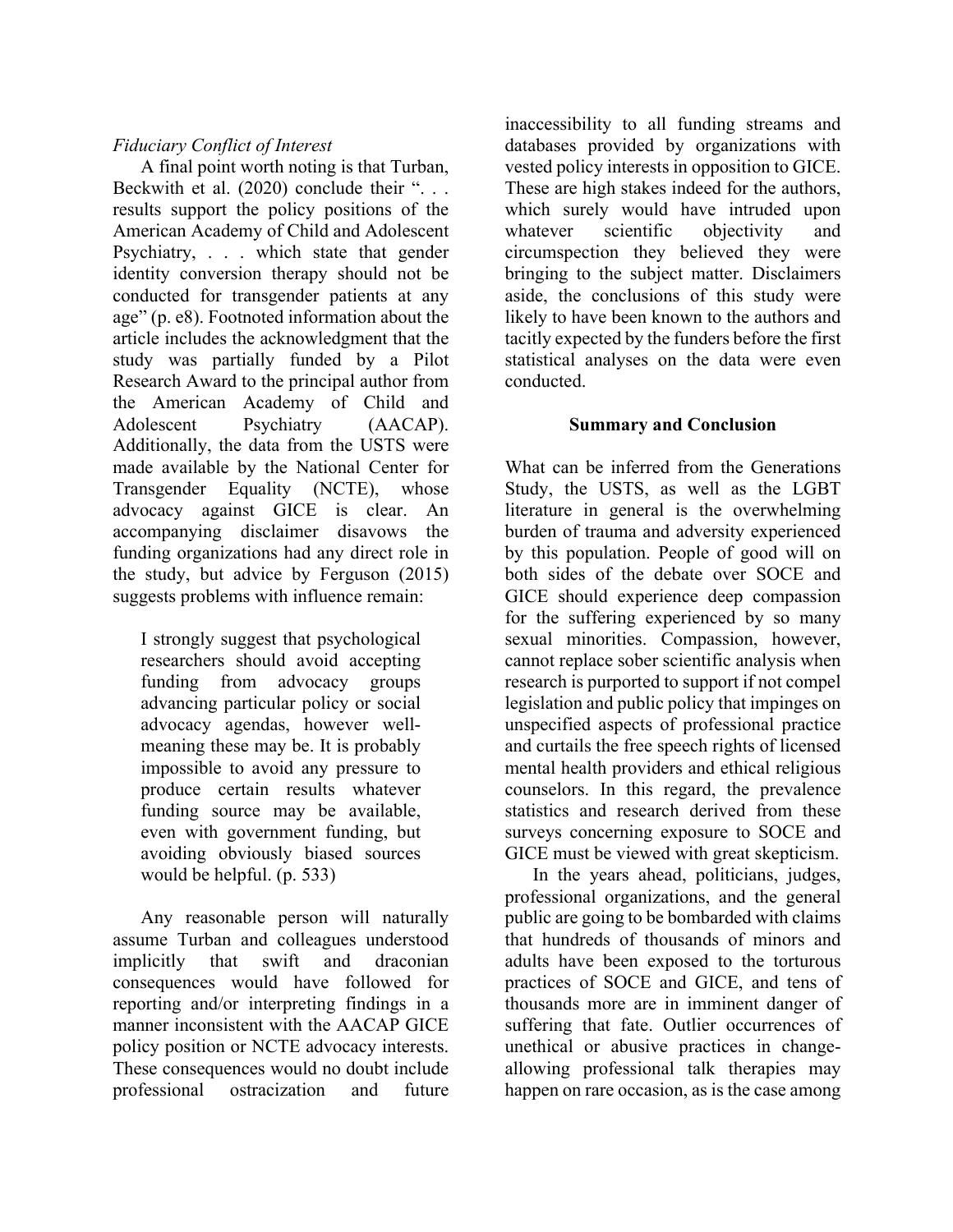# *Fiduciary Conflict of Interest*

A final point worth noting is that Turban, Beckwith et al. (2020) conclude their "... results support the policy positions of the American Academy of Child and Adolescent Psychiatry, . . . which state that gender identity conversion therapy should not be conducted for transgender patients at any age" (p. e8). Footnoted information about the article includes the acknowledgment that the study was partially funded by a Pilot Research Award to the principal author from the American Academy of Child and Adolescent Psychiatry (AACAP). Additionally, the data from the USTS were made available by the National Center for Transgender Equality (NCTE), whose advocacy against GICE is clear. An accompanying disclaimer disavows the funding organizations had any direct role in the study, but advice by Ferguson (2015) suggests problems with influence remain:

I strongly suggest that psychological researchers should avoid accepting funding from advocacy groups advancing particular policy or social advocacy agendas, however wellmeaning these may be. It is probably impossible to avoid any pressure to produce certain results whatever funding source may be available, even with government funding, but avoiding obviously biased sources would be helpful. (p. 533)

Any reasonable person will naturally assume Turban and colleagues understood implicitly that swift and draconian consequences would have followed for reporting and/or interpreting findings in a manner inconsistent with the AACAP GICE policy position or NCTE advocacy interests. These consequences would no doubt include professional ostracization and future

inaccessibility to all funding streams and databases provided by organizations with vested policy interests in opposition to GICE. These are high stakes indeed for the authors, which surely would have intruded upon whatever scientific objectivity and circumspection they believed they were bringing to the subject matter. Disclaimers aside, the conclusions of this study were likely to have been known to the authors and tacitly expected by the funders before the first statistical analyses on the data were even conducted.

#### **Summary and Conclusion**

What can be inferred from the Generations Study, the USTS, as well as the LGBT literature in general is the overwhelming burden of trauma and adversity experienced by this population. People of good will on both sides of the debate over SOCE and GICE should experience deep compassion for the suffering experienced by so many sexual minorities. Compassion, however, cannot replace sober scientific analysis when research is purported to support if not compel legislation and public policy that impinges on unspecified aspects of professional practice and curtails the free speech rights of licensed mental health providers and ethical religious counselors. In this regard, the prevalence statistics and research derived from these surveys concerning exposure to SOCE and GICE must be viewed with great skepticism.

In the years ahead, politicians, judges, professional organizations, and the general public are going to be bombarded with claims that hundreds of thousands of minors and adults have been exposed to the torturous practices of SOCE and GICE, and tens of thousands more are in imminent danger of suffering that fate. Outlier occurrences of unethical or abusive practices in changeallowing professional talk therapies may happen on rare occasion, as is the case among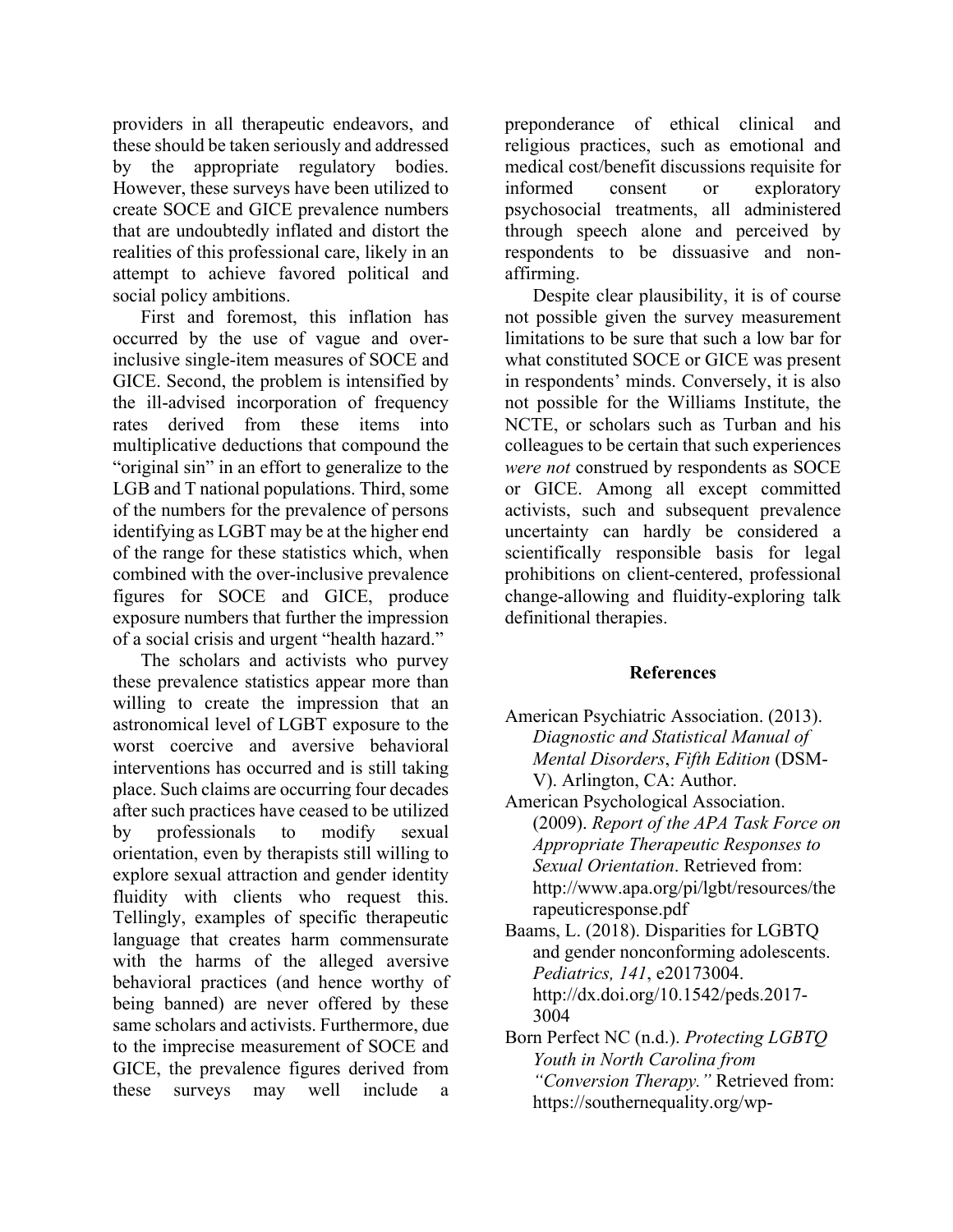providers in all therapeutic endeavors, and these should be taken seriously and addressed by the appropriate regulatory bodies. However, these surveys have been utilized to create SOCE and GICE prevalence numbers that are undoubtedly inflated and distort the realities of this professional care, likely in an attempt to achieve favored political and social policy ambitions.

First and foremost, this inflation has occurred by the use of vague and overinclusive single-item measures of SOCE and GICE. Second, the problem is intensified by the ill-advised incorporation of frequency rates derived from these items into multiplicative deductions that compound the "original sin" in an effort to generalize to the LGB and T national populations. Third, some of the numbers for the prevalence of persons identifying as LGBT may be at the higher end of the range for these statistics which, when combined with the over-inclusive prevalence figures for SOCE and GICE, produce exposure numbers that further the impression of a social crisis and urgent "health hazard."

The scholars and activists who purvey these prevalence statistics appear more than willing to create the impression that an astronomical level of LGBT exposure to the worst coercive and aversive behavioral interventions has occurred and is still taking place. Such claims are occurring four decades after such practices have ceased to be utilized by professionals to modify sexual orientation, even by therapists still willing to explore sexual attraction and gender identity fluidity with clients who request this. Tellingly, examples of specific therapeutic language that creates harm commensurate with the harms of the alleged aversive behavioral practices (and hence worthy of being banned) are never offered by these same scholars and activists. Furthermore, due to the imprecise measurement of SOCE and GICE, the prevalence figures derived from these surveys may well include a preponderance of ethical clinical and religious practices, such as emotional and medical cost/benefit discussions requisite for informed consent or exploratory psychosocial treatments, all administered through speech alone and perceived by respondents to be dissuasive and nonaffirming.

Despite clear plausibility, it is of course not possible given the survey measurement limitations to be sure that such a low bar for what constituted SOCE or GICE was present in respondents' minds. Conversely, it is also not possible for the Williams Institute, the NCTE, or scholars such as Turban and his colleagues to be certain that such experiences *were not* construed by respondents as SOCE or GICE. Among all except committed activists, such and subsequent prevalence uncertainty can hardly be considered a scientifically responsible basis for legal prohibitions on client-centered, professional change-allowing and fluidity-exploring talk definitional therapies.

#### **References**

- American Psychiatric Association. (2013). *Diagnostic and Statistical Manual of Mental Disorders*, *Fifth Edition* (DSM-V). Arlington, CA: Author.
- American Psychological Association. (2009). *Report of the APA Task Force on Appropriate Therapeutic Responses to Sexual Orientation*. Retrieved from: http://www.apa.org/pi/lgbt/resources/the rapeuticresponse.pdf
- Baams, L. (2018). Disparities for LGBTQ and gender nonconforming adolescents. *Pediatrics, 141*, e20173004. http://dx.doi.org/10.1542/peds.2017- 3004
- Born Perfect NC (n.d.). *Protecting LGBTQ Youth in North Carolina from "Conversion Therapy."* Retrieved from: https://southernequality.org/wp-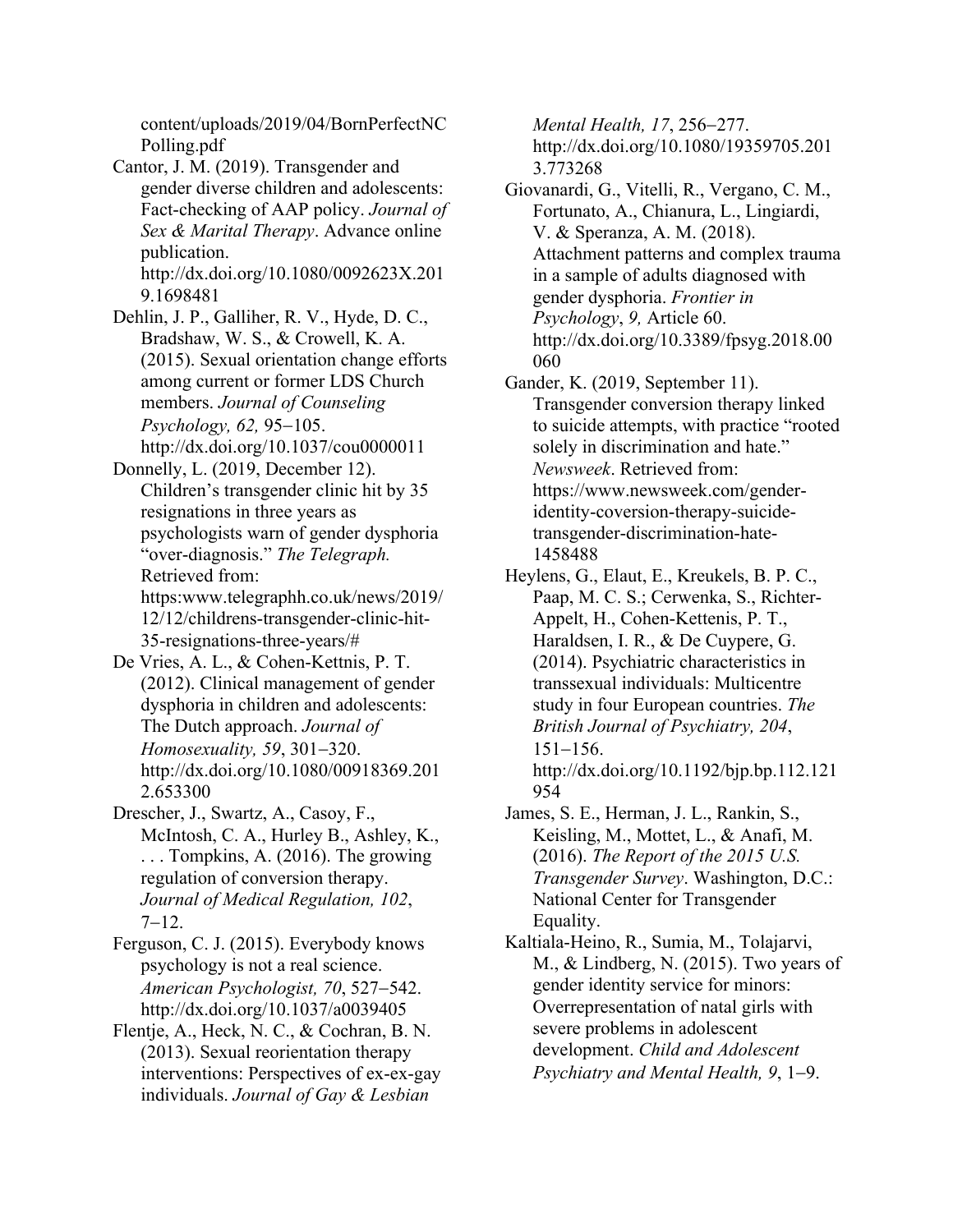content/uploads/2019/04/BornPerfectNC Polling.pdf

Cantor, J. M. (2019). Transgender and gender diverse children and adolescents: Fact-checking of AAP policy. *Journal of Sex & Marital Therapy*. Advance online publication. http://dx.doi.org/10.1080/0092623X.201 9.1698481

Dehlin, J. P., Galliher, R. V., Hyde, D. C., Bradshaw, W. S., & Crowell, K. A. (2015). Sexual orientation change efforts among current or former LDS Church members. *Journal of Counseling Psychology, 62,* 95-105. http://dx.doi.org/10.1037/cou0000011

Donnelly, L. (2019, December 12). Children's transgender clinic hit by 35 resignations in three years as psychologists warn of gender dysphoria "over-diagnosis." *The Telegraph.*  Retrieved from: https:www.telegraphh.co.uk/news/2019/ 12/12/childrens-transgender-clinic-hit-35-resignations-three-years/#

De Vries, A. L., & Cohen-Kettnis, P. T. (2012). Clinical management of gender dysphoria in children and adolescents: The Dutch approach. *Journal of Homosexuality, 59*, 301-320. http://dx.doi.org/10.1080/00918369.201 2.653300

Drescher, J., Swartz, A., Casoy, F., McIntosh, C. A., Hurley B., Ashley, K., . . . Tompkins, A. (2016). The growing regulation of conversion therapy. *Journal of Medical Regulation, 102*,  $7 - 12.$ 

Ferguson, C. J. (2015). Everybody knows psychology is not a real science. *American Psychologist, 70*, 527-542. http://dx.doi.org/10.1037/a0039405

Flentje, A., Heck, N. C., & Cochran, B. N. (2013). Sexual reorientation therapy interventions: Perspectives of ex-ex-gay individuals. *Journal of Gay & Lesbian* 

*Mental Health, 17*, 256-277. http://dx.doi.org/10.1080/19359705.201 3.773268

Giovanardi, G., Vitelli, R., Vergano, C. M., Fortunato, A., Chianura, L., Lingiardi, V. & Speranza, A. M. (2018). Attachment patterns and complex trauma in a sample of adults diagnosed with gender dysphoria. *Frontier in Psychology*, *9,* Article 60. http://dx.doi.org/10.3389/fpsyg.2018.00 060

Gander, K. (2019, September 11). Transgender conversion therapy linked to suicide attempts, with practice "rooted solely in discrimination and hate." *Newsweek*. Retrieved from: https://www.newsweek.com/genderidentity-coversion-therapy-suicidetransgender-discrimination-hate-1458488

- Heylens, G., Elaut, E., Kreukels, B. P. C., Paap, M. C. S.; Cerwenka, S., Richter-Appelt, H., Cohen-Kettenis, P. T., Haraldsen, I. R., & De Cuypere, G. (2014). Psychiatric characteristics in transsexual individuals: Multicentre study in four European countries. *The British Journal of Psychiatry, 204*, 151-156. http://dx.doi.org/10.1192/bjp.bp.112.121 954
- James, S. E., Herman, J. L., Rankin, S., Keisling, M., Mottet, L., & Anafi, M. (2016). *The Report of the 2015 U.S. Transgender Survey*. Washington, D.C.: National Center for Transgender Equality.

Kaltiala-Heino, R., Sumia, M., Tolajarvi, M., & Lindberg, N. (2015). Two years of gender identity service for minors: Overrepresentation of natal girls with severe problems in adolescent development. *Child and Adolescent Psychiatry and Mental Health, 9*, 1-9.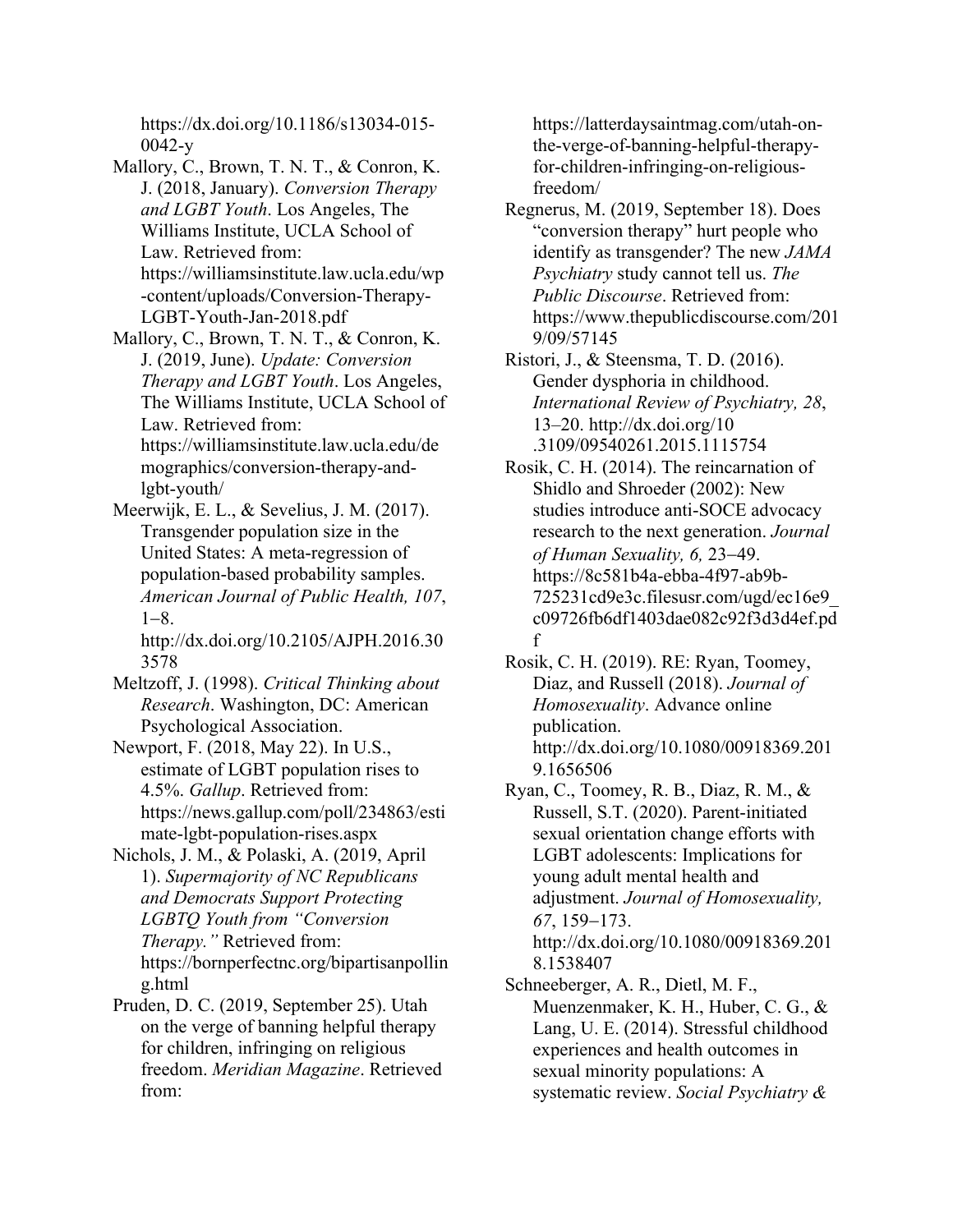https://dx.doi.org/10.1186/s13034-015- 0042-y

- Mallory, C., Brown, T. N. T., & Conron, K. J. (2018, January). *Conversion Therapy and LGBT Youth*. Los Angeles, The Williams Institute, UCLA School of Law. Retrieved from: https://williamsinstitute.law.ucla.edu/wp -content/uploads/Conversion-Therapy-LGBT-Youth-Jan-2018.pdf
- Mallory, C., Brown, T. N. T., & Conron, K. J. (2019, June). *Update: Conversion Therapy and LGBT Youth*. Los Angeles, The Williams Institute, UCLA School of Law. Retrieved from: https://williamsinstitute.law.ucla.edu/de

mographics/conversion-therapy-andlgbt-youth/

Meerwijk, E. L., & Sevelius, J. M. (2017). Transgender population size in the United States: A meta-regression of population-based probability samples. *American Journal of Public Health, 107*,  $1 - 8$ .

http://dx.doi.org/10.2105/AJPH.2016.30 3578

- Meltzoff, J. (1998). *Critical Thinking about Research*. Washington, DC: American Psychological Association.
- Newport, F. (2018, May 22). In U.S., estimate of LGBT population rises to 4.5%. *Gallup*. Retrieved from: https://news.gallup.com/poll/234863/esti mate-lgbt-population-rises.aspx
- Nichols, J. M., & Polaski, A. (2019, April 1). *Supermajority of NC Republicans and Democrats Support Protecting LGBTQ Youth from "Conversion Therapy."* Retrieved from: https://bornperfectnc.org/bipartisanpollin g.html
- Pruden, D. C. (2019, September 25). Utah on the verge of banning helpful therapy for children, infringing on religious freedom. *Meridian Magazine*. Retrieved from:

https://latterdaysaintmag.com/utah-onthe-verge-of-banning-helpful-therapyfor-children-infringing-on-religiousfreedom/

Regnerus, M. (2019, September 18). Does "conversion therapy" hurt people who identify as transgender? The new *JAMA Psychiatry* study cannot tell us. *The Public Discourse*. Retrieved from: https://www.thepublicdiscourse.com/201 9/09/57145

Ristori, J., & Steensma, T. D. (2016). Gender dysphoria in childhood. *International Review of Psychiatry, 28*, 13–20. http://dx.doi.org/10 .3109/09540261.2015.1115754

Rosik, C. H. (2014). The reincarnation of Shidlo and Shroeder (2002): New studies introduce anti-SOCE advocacy research to the next generation. *Journal of Human Sexuality, 6,* 23-49. https://8c581b4a-ebba-4f97-ab9b-725231cd9e3c.filesusr.com/ugd/ec16e9\_ c09726fb6df1403dae082c92f3d3d4ef.pd f

Rosik, C. H. (2019). RE: Ryan, Toomey, Diaz, and Russell (2018). *Journal of Homosexuality*. Advance online publication. http://dx.doi.org/10.1080/00918369.201 9.1656506

- Ryan, C., Toomey, R. B., Diaz, R. M., & Russell, S.T. (2020). Parent-initiated sexual orientation change efforts with LGBT adolescents: Implications for young adult mental health and adjustment. *Journal of Homosexuality, 67*, 159-173. http://dx.doi.org/10.1080/00918369.201 8.1538407
- Schneeberger, A. R., Dietl, M. F., Muenzenmaker, K. H., Huber, C. G., & Lang, U. E. (2014). Stressful childhood experiences and health outcomes in sexual minority populations: A systematic review. *Social Psychiatry &*